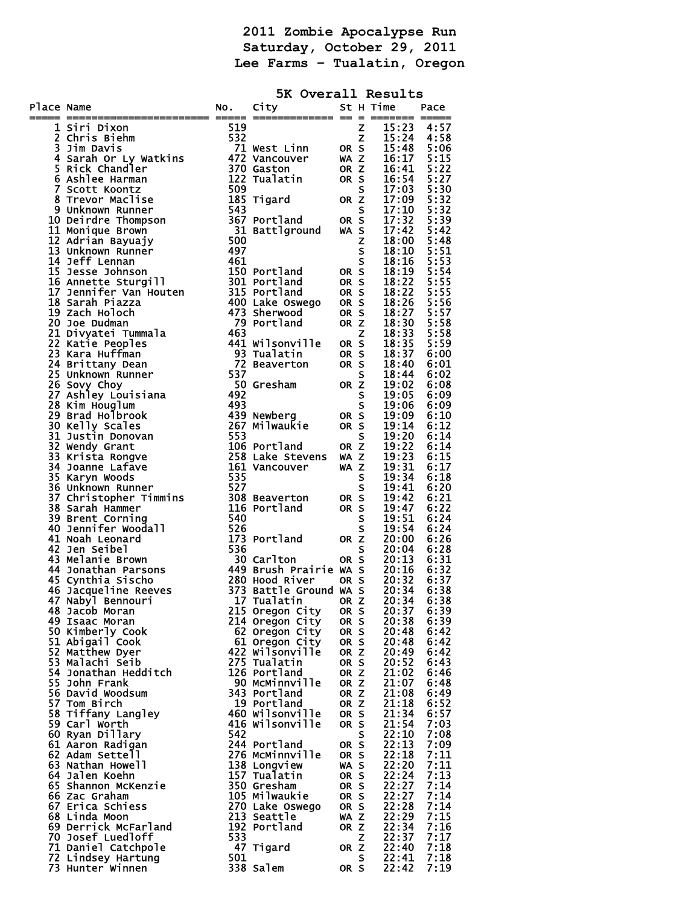**2011 Zombie Apocalypse Run Saturday, October 29, 2011 Lee Farms – Tualatin, Oregon** 

|            |                                                                                                                                                                                                                                     |     | 5K Overall Results                                |              |   |                                                                                                              |              |
|------------|-------------------------------------------------------------------------------------------------------------------------------------------------------------------------------------------------------------------------------------|-----|---------------------------------------------------|--------------|---|--------------------------------------------------------------------------------------------------------------|--------------|
| Place Name | ace Name<br>$\frac{1}{2}$ Christopher Worker and the state of the state of the state of the state of the state of the state of the state of the state of the state of the state of the state of the state of the state of the state |     | No. City                                          |              |   | St H Time Pace                                                                                               |              |
|            |                                                                                                                                                                                                                                     |     |                                                   |              |   |                                                                                                              |              |
|            |                                                                                                                                                                                                                                     |     |                                                   |              |   |                                                                                                              |              |
|            |                                                                                                                                                                                                                                     |     |                                                   |              |   |                                                                                                              |              |
|            |                                                                                                                                                                                                                                     |     |                                                   |              |   |                                                                                                              |              |
|            |                                                                                                                                                                                                                                     |     |                                                   |              |   |                                                                                                              |              |
|            |                                                                                                                                                                                                                                     |     |                                                   |              |   |                                                                                                              |              |
|            |                                                                                                                                                                                                                                     |     |                                                   |              |   |                                                                                                              |              |
|            |                                                                                                                                                                                                                                     |     |                                                   |              |   |                                                                                                              |              |
|            |                                                                                                                                                                                                                                     |     |                                                   |              |   |                                                                                                              |              |
|            |                                                                                                                                                                                                                                     |     |                                                   |              |   |                                                                                                              |              |
|            |                                                                                                                                                                                                                                     |     |                                                   |              |   |                                                                                                              |              |
|            |                                                                                                                                                                                                                                     |     |                                                   |              |   |                                                                                                              |              |
|            |                                                                                                                                                                                                                                     |     |                                                   |              |   |                                                                                                              |              |
|            |                                                                                                                                                                                                                                     |     |                                                   |              |   |                                                                                                              |              |
|            |                                                                                                                                                                                                                                     |     |                                                   |              |   |                                                                                                              |              |
|            |                                                                                                                                                                                                                                     |     |                                                   |              |   |                                                                                                              |              |
|            |                                                                                                                                                                                                                                     |     |                                                   |              |   |                                                                                                              |              |
|            |                                                                                                                                                                                                                                     |     |                                                   |              |   |                                                                                                              |              |
|            |                                                                                                                                                                                                                                     |     |                                                   |              |   |                                                                                                              |              |
|            |                                                                                                                                                                                                                                     |     |                                                   |              |   |                                                                                                              |              |
|            |                                                                                                                                                                                                                                     |     |                                                   |              |   |                                                                                                              |              |
|            |                                                                                                                                                                                                                                     |     |                                                   |              |   |                                                                                                              |              |
|            |                                                                                                                                                                                                                                     |     |                                                   |              |   |                                                                                                              |              |
|            |                                                                                                                                                                                                                                     |     |                                                   |              |   |                                                                                                              |              |
|            |                                                                                                                                                                                                                                     |     |                                                   |              |   |                                                                                                              |              |
|            |                                                                                                                                                                                                                                     |     |                                                   |              |   |                                                                                                              |              |
|            |                                                                                                                                                                                                                                     |     |                                                   |              |   |                                                                                                              |              |
|            |                                                                                                                                                                                                                                     |     |                                                   |              |   |                                                                                                              |              |
|            |                                                                                                                                                                                                                                     |     |                                                   |              |   |                                                                                                              |              |
|            |                                                                                                                                                                                                                                     |     |                                                   |              |   |                                                                                                              |              |
|            |                                                                                                                                                                                                                                     |     |                                                   |              |   |                                                                                                              |              |
|            |                                                                                                                                                                                                                                     |     |                                                   |              |   |                                                                                                              |              |
|            |                                                                                                                                                                                                                                     |     |                                                   |              |   |                                                                                                              |              |
|            |                                                                                                                                                                                                                                     |     |                                                   |              |   |                                                                                                              |              |
|            | 47 Nabyl Bennouri<br>48 Jacob Moran                                                                                                                                                                                                 |     | 17 Tualatin<br>215 Oregon City                    | OR Z<br>OR S |   | 20:34<br>20:37                                                                                               | 6:38<br>6:39 |
|            | 49 Isaac Moran                                                                                                                                                                                                                      |     | 214 Oregon City                                   | OR S         |   | 20:38                                                                                                        | 6:39         |
|            | 50 Kimberly Cook<br>51 Abigail Cook                                                                                                                                                                                                 |     | 62 Oregon City                                    | OR S         |   | 20:48                                                                                                        | 6:42         |
|            | 52 Matthew Dyer                                                                                                                                                                                                                     |     | 61 Oregon City<br>422 Wilsonville<br>275 Tualatin | OR S<br>OR Z |   | 20:48<br>20:49                                                                                               | 6:42<br>6:42 |
|            | 53 Malachi Seib                                                                                                                                                                                                                     |     |                                                   | OR S         |   | 20:52                                                                                                        | 6:43         |
|            | 54 Jonathan Hedditch                                                                                                                                                                                                                |     | 126 Portland                                      | OR Z         |   | 21:02<br>21:07                                                                                               | 6:46         |
|            | 55 John Frank<br>56 David Woodsum                                                                                                                                                                                                   |     | 90 MCMinnville<br>343 Portland                    | OR Z<br>OR Z |   | 21:08                                                                                                        | 6:48<br>6:49 |
|            | 57 Tom Birch                                                                                                                                                                                                                        |     | 19 Portland                                       | OR Z         |   | 21:18                                                                                                        | 6:52         |
|            | 58 Tiffany Langley<br>59 Carl Worth                                                                                                                                                                                                 |     | 460 Wilsonville<br>416 Wilsonville                | OR S<br>OR S |   | 21:34                                                                                                        | 6:57<br>7:03 |
|            | 60 Ryan Dillary                                                                                                                                                                                                                     | 542 |                                                   |              | S |                                                                                                              | 7:08         |
|            | 61 Aaron Radigan                                                                                                                                                                                                                    |     | 244 Portland                                      | OR S         |   |                                                                                                              | 7:09         |
|            | 62 Adam Settell<br>63 Nathan Howell                                                                                                                                                                                                 |     | 276 MCMinnville<br>138 Longview                   | OR S<br>WA S |   |                                                                                                              | 7:11<br>7:11 |
|            | 64 Jalen Koehn                                                                                                                                                                                                                      |     | 157 Tualatin                                      | OR S         |   | 21:54<br>22:138<br>22:138<br>22:138<br>22:122<br>22:22<br>22:22<br>22:22<br>22:22<br>22:33<br>22:32<br>22:32 | 7:13         |
|            | 65 Shannon McKenzie                                                                                                                                                                                                                 |     | 350 Gresham                                       | OR S         |   |                                                                                                              | 7:14         |
|            | 66 Zac Graham<br>67 Erica Schiess                                                                                                                                                                                                   |     | 105 Milwaukie<br>270 Lake Oswego                  | OR S<br>OR S |   |                                                                                                              | 7:14<br>7:14 |
|            | 68 Linda Moon                                                                                                                                                                                                                       |     | 213 Seattle                                       | WA Z         |   |                                                                                                              | 7:15         |
|            | 69 Derrick McFarland                                                                                                                                                                                                                |     | 192 Portland                                      | OR Z         |   |                                                                                                              | 7:16         |
|            | 70 Josef Luedloff<br>71 Daniel Catchpole                                                                                                                                                                                            | 533 | 47 Tigard                                         | OR Z         | Z |                                                                                                              | 7:17<br>7:18 |
|            | 72 Lindsey Hartung                                                                                                                                                                                                                  | 501 |                                                   |              | S | $\frac{22:41}{22:42}$                                                                                        | 7:18         |
|            | 73 Hunter Winnen                                                                                                                                                                                                                    |     | 338 Salem                                         | OR S         |   |                                                                                                              | 7:19         |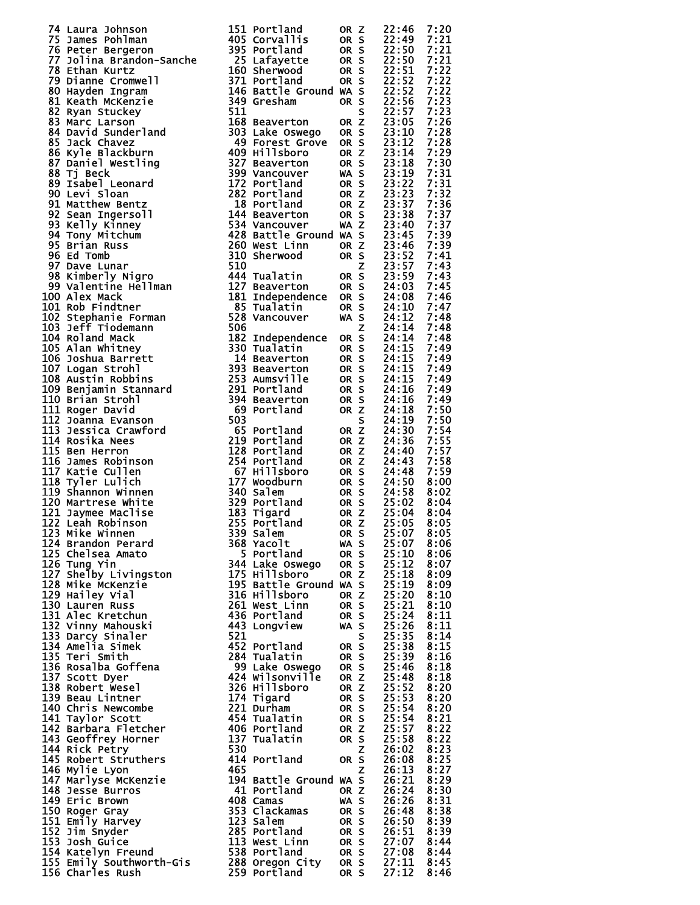| 74         | Laura Johnson                                |
|------------|----------------------------------------------|
| 75         |                                              |
| 76         | James Pohlman<br>Peter Bergeron              |
| 77         | Jolina Brandon-Sanch                         |
| 78         | Ethan Kurtz                                  |
| 79.<br>80  | Dianne Cromwell<br>Hayden Ingram             |
| 81         | Keath McKenzie                               |
| 82         | Ryan Stuckey                                 |
| 83         | Marc Larson                                  |
| 84         | David Sunderland                             |
| 85         | Jack Chavez<br>Kyle Blackburn                |
| 86         |                                              |
| 87         | Daniel Westling                              |
| 88         | Tj Beck                                      |
| 89<br>90   | Isabel Leonard<br>Levi Sloan                 |
| 91         | Matthew Bentz                                |
| 92         | Sean Ingersoll                               |
| 93         | Kelly Kinney                                 |
| 94         | Tony Mitchum                                 |
| 95         | Brian Russ                                   |
| 96         | Ed Tomb                                      |
| 97         | Dave Lunar                                   |
| 98         | Kimberly Nigro                               |
| 99<br>100  | Valentine Hellman<br>Alex Mack               |
| 101        | Rob Findtner                                 |
| 102        | Stephanie Forman                             |
| 103        | <b>Jeff Tiodemann</b>                        |
| 104        | Roland Mack                                  |
| 105        | Alan Whitnev                                 |
| 106        | Joshua Barrett                               |
| 107        | Logan Strohl                                 |
| 108        | Austin Robbins                               |
| 109<br>110 | Benjamin Stannard<br>Brian Strohl            |
| 111        | Roger David                                  |
| 112        | Joanna Evanson                               |
| 113        | Jessica Crawford                             |
| 114        | Rosika Nees                                  |
| 115        | <b>Ben Herron</b>                            |
| 116        | James Robinson                               |
| 117<br>118 | Katie Cullen<br>Tyler Lulich                 |
| 119        | Shannon Winnen                               |
| 120        | Martrese White                               |
| 121        | Jaymee Maclise                               |
| 122        | Leah Robinson                                |
| 123        | Mike Winnen                                  |
| 124        | Brandon Perard<br>Chelsea Amato              |
| 125        |                                              |
| 126<br>127 | Tung Yin<br>Shelby Livingston                |
| 128        | <b>Mike McKenzie</b>                         |
| 129        | Hailey Vial                                  |
| 130        | Lauren Russ                                  |
| 131<br>132 | Alec Kretchun                                |
|            | Vinny Mahouski                               |
| 133<br>134 | .<br>Darcy Sinaler<br>Amelia Simek           |
|            |                                              |
| 135<br>136 | Teri Smith<br>Rosalba Goffena                |
|            | Scott Dyer                                   |
| 137<br>138 | Robert Wesel                                 |
| 139        | Beau Lintner                                 |
| 140        | Chris Newcombe                               |
| 141        | Taylor Scott                                 |
| 142        | Barbara Fletcher                             |
| 143        | Geoffrey Horner                              |
| 144<br>145 | Rick Petry                                   |
| 146        | Robert Struthers<br>Mylie Lyon               |
| 147        | Marlyse McKenzie                             |
| 148        | <b>Jesse Burros</b>                          |
| 149        | Eric Brown                                   |
| 150        | Roger Gray                                   |
| 151        | Emily Harvey                                 |
| 152        | Jim Snyder                                   |
| 153<br>154 | Josh Guice<br>Katelyn Freund                 |
| 155        |                                              |
|            | 155 Emily Southworth-Gis<br>156 Charles Rush |

| 74 Laura Johnson 151 Fortland<br>175 Peter Bergeron 151 Fortland 06 K s 22:146 7:20<br>175 Peter Bergeron 1895 Portland 06 K s 22:150 7:2146<br>177 Peter Bergeron 1891 Bergeron 1891 Bergeron 1891 Bergeron 1892<br>178 Distance Com            |  |  |  |
|--------------------------------------------------------------------------------------------------------------------------------------------------------------------------------------------------------------------------------------------------|--|--|--|
|                                                                                                                                                                                                                                                  |  |  |  |
|                                                                                                                                                                                                                                                  |  |  |  |
|                                                                                                                                                                                                                                                  |  |  |  |
|                                                                                                                                                                                                                                                  |  |  |  |
|                                                                                                                                                                                                                                                  |  |  |  |
|                                                                                                                                                                                                                                                  |  |  |  |
|                                                                                                                                                                                                                                                  |  |  |  |
|                                                                                                                                                                                                                                                  |  |  |  |
|                                                                                                                                                                                                                                                  |  |  |  |
|                                                                                                                                                                                                                                                  |  |  |  |
|                                                                                                                                                                                                                                                  |  |  |  |
|                                                                                                                                                                                                                                                  |  |  |  |
|                                                                                                                                                                                                                                                  |  |  |  |
|                                                                                                                                                                                                                                                  |  |  |  |
|                                                                                                                                                                                                                                                  |  |  |  |
|                                                                                                                                                                                                                                                  |  |  |  |
|                                                                                                                                                                                                                                                  |  |  |  |
|                                                                                                                                                                                                                                                  |  |  |  |
|                                                                                                                                                                                                                                                  |  |  |  |
|                                                                                                                                                                                                                                                  |  |  |  |
|                                                                                                                                                                                                                                                  |  |  |  |
|                                                                                                                                                                                                                                                  |  |  |  |
|                                                                                                                                                                                                                                                  |  |  |  |
|                                                                                                                                                                                                                                                  |  |  |  |
|                                                                                                                                                                                                                                                  |  |  |  |
|                                                                                                                                                                                                                                                  |  |  |  |
|                                                                                                                                                                                                                                                  |  |  |  |
|                                                                                                                                                                                                                                                  |  |  |  |
|                                                                                                                                                                                                                                                  |  |  |  |
|                                                                                                                                                                                                                                                  |  |  |  |
|                                                                                                                                                                                                                                                  |  |  |  |
|                                                                                                                                                                                                                                                  |  |  |  |
|                                                                                                                                                                                                                                                  |  |  |  |
|                                                                                                                                                                                                                                                  |  |  |  |
|                                                                                                                                                                                                                                                  |  |  |  |
|                                                                                                                                                                                                                                                  |  |  |  |
|                                                                                                                                                                                                                                                  |  |  |  |
|                                                                                                                                                                                                                                                  |  |  |  |
|                                                                                                                                                                                                                                                  |  |  |  |
|                                                                                                                                                                                                                                                  |  |  |  |
|                                                                                                                                                                                                                                                  |  |  |  |
|                                                                                                                                                                                                                                                  |  |  |  |
|                                                                                                                                                                                                                                                  |  |  |  |
|                                                                                                                                                                                                                                                  |  |  |  |
|                                                                                                                                                                                                                                                  |  |  |  |
|                                                                                                                                                                                                                                                  |  |  |  |
|                                                                                                                                                                                                                                                  |  |  |  |
|                                                                                                                                                                                                                                                  |  |  |  |
|                                                                                                                                                                                                                                                  |  |  |  |
|                                                                                                                                                                                                                                                  |  |  |  |
|                                                                                                                                                                                                                                                  |  |  |  |
|                                                                                                                                                                                                                                                  |  |  |  |
|                                                                                                                                                                                                                                                  |  |  |  |
|                                                                                                                                                                                                                                                  |  |  |  |
|                                                                                                                                                                                                                                                  |  |  |  |
|                                                                                                                                                                                                                                                  |  |  |  |
|                                                                                                                                                                                                                                                  |  |  |  |
|                                                                                                                                                                                                                                                  |  |  |  |
|                                                                                                                                                                                                                                                  |  |  |  |
|                                                                                                                                                                                                                                                  |  |  |  |
|                                                                                                                                                                                                                                                  |  |  |  |
|                                                                                                                                                                                                                                                  |  |  |  |
|                                                                                                                                                                                                                                                  |  |  |  |
|                                                                                                                                                                                                                                                  |  |  |  |
|                                                                                                                                                                                                                                                  |  |  |  |
|                                                                                                                                                                                                                                                  |  |  |  |
|                                                                                                                                                                                                                                                  |  |  |  |
|                                                                                                                                                                                                                                                  |  |  |  |
|                                                                                                                                                                                                                                                  |  |  |  |
|                                                                                                                                                                                                                                                  |  |  |  |
|                                                                                                                                                                                                                                                  |  |  |  |
|                                                                                                                                                                                                                                                  |  |  |  |
|                                                                                                                                                                                                                                                  |  |  |  |
|                                                                                                                                                                                                                                                  |  |  |  |
|                                                                                                                                                                                                                                                  |  |  |  |
|                                                                                                                                                                                                                                                  |  |  |  |
|                                                                                                                                                                                                                                                  |  |  |  |
|                                                                                                                                                                                                                                                  |  |  |  |
|                                                                                                                                                                                                                                                  |  |  |  |
|                                                                                                                                                                                                                                                  |  |  |  |
|                                                                                                                                                                                                                                                  |  |  |  |
| 172 Leah Robert and the state of the state of the state of the state of the state of the winner and the state of the state of the state of the state of the state of the state of the state of the state of the state of the<br>156 Charles Rush |  |  |  |
|                                                                                                                                                                                                                                                  |  |  |  |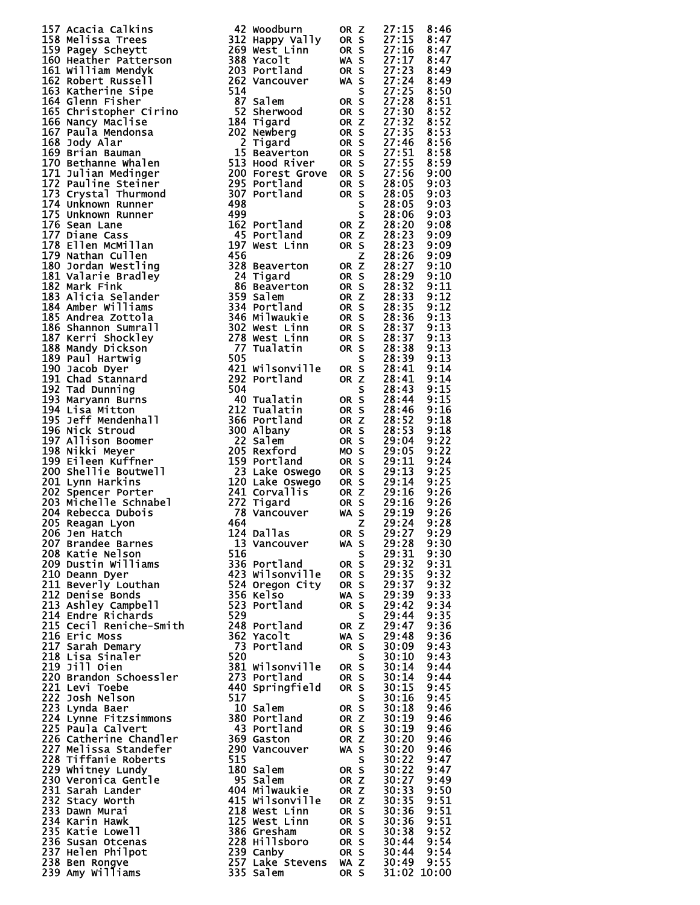| 137 Access California (42 Modelum) 0 250 Modelum) 0 271.15 Access 212.15 And the state of the state of the state of the state of the state of the state of the state of the state in the state of the state of the state of t                  |  |  |  |
|------------------------------------------------------------------------------------------------------------------------------------------------------------------------------------------------------------------------------------------------|--|--|--|
|                                                                                                                                                                                                                                                |  |  |  |
|                                                                                                                                                                                                                                                |  |  |  |
|                                                                                                                                                                                                                                                |  |  |  |
|                                                                                                                                                                                                                                                |  |  |  |
|                                                                                                                                                                                                                                                |  |  |  |
|                                                                                                                                                                                                                                                |  |  |  |
|                                                                                                                                                                                                                                                |  |  |  |
|                                                                                                                                                                                                                                                |  |  |  |
|                                                                                                                                                                                                                                                |  |  |  |
|                                                                                                                                                                                                                                                |  |  |  |
|                                                                                                                                                                                                                                                |  |  |  |
|                                                                                                                                                                                                                                                |  |  |  |
|                                                                                                                                                                                                                                                |  |  |  |
|                                                                                                                                                                                                                                                |  |  |  |
|                                                                                                                                                                                                                                                |  |  |  |
|                                                                                                                                                                                                                                                |  |  |  |
|                                                                                                                                                                                                                                                |  |  |  |
|                                                                                                                                                                                                                                                |  |  |  |
|                                                                                                                                                                                                                                                |  |  |  |
|                                                                                                                                                                                                                                                |  |  |  |
|                                                                                                                                                                                                                                                |  |  |  |
|                                                                                                                                                                                                                                                |  |  |  |
|                                                                                                                                                                                                                                                |  |  |  |
|                                                                                                                                                                                                                                                |  |  |  |
|                                                                                                                                                                                                                                                |  |  |  |
|                                                                                                                                                                                                                                                |  |  |  |
|                                                                                                                                                                                                                                                |  |  |  |
|                                                                                                                                                                                                                                                |  |  |  |
|                                                                                                                                                                                                                                                |  |  |  |
|                                                                                                                                                                                                                                                |  |  |  |
|                                                                                                                                                                                                                                                |  |  |  |
|                                                                                                                                                                                                                                                |  |  |  |
|                                                                                                                                                                                                                                                |  |  |  |
|                                                                                                                                                                                                                                                |  |  |  |
|                                                                                                                                                                                                                                                |  |  |  |
|                                                                                                                                                                                                                                                |  |  |  |
|                                                                                                                                                                                                                                                |  |  |  |
|                                                                                                                                                                                                                                                |  |  |  |
|                                                                                                                                                                                                                                                |  |  |  |
|                                                                                                                                                                                                                                                |  |  |  |
|                                                                                                                                                                                                                                                |  |  |  |
|                                                                                                                                                                                                                                                |  |  |  |
|                                                                                                                                                                                                                                                |  |  |  |
|                                                                                                                                                                                                                                                |  |  |  |
|                                                                                                                                                                                                                                                |  |  |  |
|                                                                                                                                                                                                                                                |  |  |  |
|                                                                                                                                                                                                                                                |  |  |  |
|                                                                                                                                                                                                                                                |  |  |  |
|                                                                                                                                                                                                                                                |  |  |  |
|                                                                                                                                                                                                                                                |  |  |  |
|                                                                                                                                                                                                                                                |  |  |  |
|                                                                                                                                                                                                                                                |  |  |  |
|                                                                                                                                                                                                                                                |  |  |  |
|                                                                                                                                                                                                                                                |  |  |  |
|                                                                                                                                                                                                                                                |  |  |  |
|                                                                                                                                                                                                                                                |  |  |  |
|                                                                                                                                                                                                                                                |  |  |  |
|                                                                                                                                                                                                                                                |  |  |  |
|                                                                                                                                                                                                                                                |  |  |  |
|                                                                                                                                                                                                                                                |  |  |  |
|                                                                                                                                                                                                                                                |  |  |  |
|                                                                                                                                                                                                                                                |  |  |  |
|                                                                                                                                                                                                                                                |  |  |  |
|                                                                                                                                                                                                                                                |  |  |  |
|                                                                                                                                                                                                                                                |  |  |  |
|                                                                                                                                                                                                                                                |  |  |  |
|                                                                                                                                                                                                                                                |  |  |  |
|                                                                                                                                                                                                                                                |  |  |  |
|                                                                                                                                                                                                                                                |  |  |  |
|                                                                                                                                                                                                                                                |  |  |  |
|                                                                                                                                                                                                                                                |  |  |  |
|                                                                                                                                                                                                                                                |  |  |  |
|                                                                                                                                                                                                                                                |  |  |  |
|                                                                                                                                                                                                                                                |  |  |  |
|                                                                                                                                                                                                                                                |  |  |  |
|                                                                                                                                                                                                                                                |  |  |  |
|                                                                                                                                                                                                                                                |  |  |  |
|                                                                                                                                                                                                                                                |  |  |  |
|                                                                                                                                                                                                                                                |  |  |  |
|                                                                                                                                                                                                                                                |  |  |  |
|                                                                                                                                                                                                                                                |  |  |  |
|                                                                                                                                                                                                                                                |  |  |  |
|                                                                                                                                                                                                                                                |  |  |  |
|                                                                                                                                                                                                                                                |  |  |  |
|                                                                                                                                                                                                                                                |  |  |  |
|                                                                                                                                                                                                                                                |  |  |  |
|                                                                                                                                                                                                                                                |  |  |  |
|                                                                                                                                                                                                                                                |  |  |  |
|                                                                                                                                                                                                                                                |  |  |  |
|                                                                                                                                                                                                                                                |  |  |  |
|                                                                                                                                                                                                                                                |  |  |  |
|                                                                                                                                                                                                                                                |  |  |  |
|                                                                                                                                                                                                                                                |  |  |  |
|                                                                                                                                                                                                                                                |  |  |  |
|                                                                                                                                                                                                                                                |  |  |  |
|                                                                                                                                                                                                                                                |  |  |  |
|                                                                                                                                                                                                                                                |  |  |  |
|                                                                                                                                                                                                                                                |  |  |  |
|                                                                                                                                                                                                                                                |  |  |  |
|                                                                                                                                                                                                                                                |  |  |  |
|                                                                                                                                                                                                                                                |  |  |  |
|                                                                                                                                                                                                                                                |  |  |  |
|                                                                                                                                                                                                                                                |  |  |  |
|                                                                                                                                                                                                                                                |  |  |  |
|                                                                                                                                                                                                                                                |  |  |  |
|                                                                                                                                                                                                                                                |  |  |  |
| 2014 Rebecta Dubins 12<br>2005 Rebecta Dubins 12<br>2006 Rebecta Dubins 12<br>2006 Rebecta Dubins 12<br>2006 Rebecta Dubins 11<br>2010 Detailed Barne 12<br>2010 Detailed Barne 11<br>2010 Detailed Barne 11<br>2010 Detailed Barne 11<br>2010 |  |  |  |

| 137 Academia Calkins are also by word in the state of the state of the state of the state of the state of the state of the state of the state of the state of the state of the state of the state of the state of the state o                   |  |  |  |
|-------------------------------------------------------------------------------------------------------------------------------------------------------------------------------------------------------------------------------------------------|--|--|--|
|                                                                                                                                                                                                                                                 |  |  |  |
|                                                                                                                                                                                                                                                 |  |  |  |
|                                                                                                                                                                                                                                                 |  |  |  |
|                                                                                                                                                                                                                                                 |  |  |  |
|                                                                                                                                                                                                                                                 |  |  |  |
|                                                                                                                                                                                                                                                 |  |  |  |
|                                                                                                                                                                                                                                                 |  |  |  |
|                                                                                                                                                                                                                                                 |  |  |  |
|                                                                                                                                                                                                                                                 |  |  |  |
|                                                                                                                                                                                                                                                 |  |  |  |
|                                                                                                                                                                                                                                                 |  |  |  |
|                                                                                                                                                                                                                                                 |  |  |  |
|                                                                                                                                                                                                                                                 |  |  |  |
|                                                                                                                                                                                                                                                 |  |  |  |
|                                                                                                                                                                                                                                                 |  |  |  |
|                                                                                                                                                                                                                                                 |  |  |  |
|                                                                                                                                                                                                                                                 |  |  |  |
|                                                                                                                                                                                                                                                 |  |  |  |
|                                                                                                                                                                                                                                                 |  |  |  |
|                                                                                                                                                                                                                                                 |  |  |  |
|                                                                                                                                                                                                                                                 |  |  |  |
|                                                                                                                                                                                                                                                 |  |  |  |
|                                                                                                                                                                                                                                                 |  |  |  |
|                                                                                                                                                                                                                                                 |  |  |  |
|                                                                                                                                                                                                                                                 |  |  |  |
|                                                                                                                                                                                                                                                 |  |  |  |
|                                                                                                                                                                                                                                                 |  |  |  |
|                                                                                                                                                                                                                                                 |  |  |  |
|                                                                                                                                                                                                                                                 |  |  |  |
|                                                                                                                                                                                                                                                 |  |  |  |
|                                                                                                                                                                                                                                                 |  |  |  |
|                                                                                                                                                                                                                                                 |  |  |  |
|                                                                                                                                                                                                                                                 |  |  |  |
|                                                                                                                                                                                                                                                 |  |  |  |
|                                                                                                                                                                                                                                                 |  |  |  |
|                                                                                                                                                                                                                                                 |  |  |  |
|                                                                                                                                                                                                                                                 |  |  |  |
|                                                                                                                                                                                                                                                 |  |  |  |
|                                                                                                                                                                                                                                                 |  |  |  |
|                                                                                                                                                                                                                                                 |  |  |  |
|                                                                                                                                                                                                                                                 |  |  |  |
|                                                                                                                                                                                                                                                 |  |  |  |
|                                                                                                                                                                                                                                                 |  |  |  |
|                                                                                                                                                                                                                                                 |  |  |  |
|                                                                                                                                                                                                                                                 |  |  |  |
|                                                                                                                                                                                                                                                 |  |  |  |
|                                                                                                                                                                                                                                                 |  |  |  |
|                                                                                                                                                                                                                                                 |  |  |  |
|                                                                                                                                                                                                                                                 |  |  |  |
|                                                                                                                                                                                                                                                 |  |  |  |
|                                                                                                                                                                                                                                                 |  |  |  |
|                                                                                                                                                                                                                                                 |  |  |  |
|                                                                                                                                                                                                                                                 |  |  |  |
|                                                                                                                                                                                                                                                 |  |  |  |
|                                                                                                                                                                                                                                                 |  |  |  |
|                                                                                                                                                                                                                                                 |  |  |  |
|                                                                                                                                                                                                                                                 |  |  |  |
|                                                                                                                                                                                                                                                 |  |  |  |
|                                                                                                                                                                                                                                                 |  |  |  |
|                                                                                                                                                                                                                                                 |  |  |  |
|                                                                                                                                                                                                                                                 |  |  |  |
|                                                                                                                                                                                                                                                 |  |  |  |
|                                                                                                                                                                                                                                                 |  |  |  |
|                                                                                                                                                                                                                                                 |  |  |  |
|                                                                                                                                                                                                                                                 |  |  |  |
|                                                                                                                                                                                                                                                 |  |  |  |
|                                                                                                                                                                                                                                                 |  |  |  |
|                                                                                                                                                                                                                                                 |  |  |  |
|                                                                                                                                                                                                                                                 |  |  |  |
|                                                                                                                                                                                                                                                 |  |  |  |
|                                                                                                                                                                                                                                                 |  |  |  |
|                                                                                                                                                                                                                                                 |  |  |  |
|                                                                                                                                                                                                                                                 |  |  |  |
|                                                                                                                                                                                                                                                 |  |  |  |
|                                                                                                                                                                                                                                                 |  |  |  |
|                                                                                                                                                                                                                                                 |  |  |  |
|                                                                                                                                                                                                                                                 |  |  |  |
|                                                                                                                                                                                                                                                 |  |  |  |
|                                                                                                                                                                                                                                                 |  |  |  |
|                                                                                                                                                                                                                                                 |  |  |  |
|                                                                                                                                                                                                                                                 |  |  |  |
|                                                                                                                                                                                                                                                 |  |  |  |
|                                                                                                                                                                                                                                                 |  |  |  |
|                                                                                                                                                                                                                                                 |  |  |  |
|                                                                                                                                                                                                                                                 |  |  |  |
|                                                                                                                                                                                                                                                 |  |  |  |
|                                                                                                                                                                                                                                                 |  |  |  |
|                                                                                                                                                                                                                                                 |  |  |  |
|                                                                                                                                                                                                                                                 |  |  |  |
|                                                                                                                                                                                                                                                 |  |  |  |
|                                                                                                                                                                                                                                                 |  |  |  |
|                                                                                                                                                                                                                                                 |  |  |  |
|                                                                                                                                                                                                                                                 |  |  |  |
|                                                                                                                                                                                                                                                 |  |  |  |
|                                                                                                                                                                                                                                                 |  |  |  |
|                                                                                                                                                                                                                                                 |  |  |  |
|                                                                                                                                                                                                                                                 |  |  |  |
|                                                                                                                                                                                                                                                 |  |  |  |
|                                                                                                                                                                                                                                                 |  |  |  |
| 204 Rebecca Dubois<br>201 Reagan Lyons<br>201 Reagan Lyons<br>201 Reagan Lyons<br>201 Reagan Lyons<br>201 Reagan Lyons<br>201 Reagan Lyons<br>201 Deam Dyer 11 and Start of the Start of S2 201:22<br>201 Deam Dyer 11 and S5 201:32<br>201 Dea |  |  |  |
|                                                                                                                                                                                                                                                 |  |  |  |
|                                                                                                                                                                                                                                                 |  |  |  |

|       | 111122223333455560000222222333333334444445500111111122233567134567345802565560033679235677891134623451346694781 |                            |                                   |
|-------|-----------------------------------------------------------------------------------------------------------------|----------------------------|-----------------------------------|
|       |                                                                                                                 |                            |                                   |
|       |                                                                                                                 |                            |                                   |
|       |                                                                                                                 |                            |                                   |
|       |                                                                                                                 |                            |                                   |
|       |                                                                                                                 |                            |                                   |
|       |                                                                                                                 |                            |                                   |
|       |                                                                                                                 |                            |                                   |
|       |                                                                                                                 |                            |                                   |
|       |                                                                                                                 |                            |                                   |
|       |                                                                                                                 |                            |                                   |
|       |                                                                                                                 |                            |                                   |
|       |                                                                                                                 |                            |                                   |
|       |                                                                                                                 |                            |                                   |
|       |                                                                                                                 |                            |                                   |
|       |                                                                                                                 |                            |                                   |
|       |                                                                                                                 |                            |                                   |
|       |                                                                                                                 |                            |                                   |
|       |                                                                                                                 |                            |                                   |
|       |                                                                                                                 |                            |                                   |
|       |                                                                                                                 |                            |                                   |
|       |                                                                                                                 |                            |                                   |
|       |                                                                                                                 |                            |                                   |
|       |                                                                                                                 |                            |                                   |
|       |                                                                                                                 |                            |                                   |
|       |                                                                                                                 |                            |                                   |
|       |                                                                                                                 |                            |                                   |
|       |                                                                                                                 |                            |                                   |
|       |                                                                                                                 |                            |                                   |
|       |                                                                                                                 |                            |                                   |
|       |                                                                                                                 |                            |                                   |
|       |                                                                                                                 |                            |                                   |
|       |                                                                                                                 |                            |                                   |
|       |                                                                                                                 |                            |                                   |
|       |                                                                                                                 |                            |                                   |
|       |                                                                                                                 |                            |                                   |
|       |                                                                                                                 |                            |                                   |
|       |                                                                                                                 |                            |                                   |
|       |                                                                                                                 |                            |                                   |
|       |                                                                                                                 |                            |                                   |
|       |                                                                                                                 |                            |                                   |
|       |                                                                                                                 |                            |                                   |
|       |                                                                                                                 |                            |                                   |
|       |                                                                                                                 |                            |                                   |
|       |                                                                                                                 |                            |                                   |
|       |                                                                                                                 |                            |                                   |
|       |                                                                                                                 |                            |                                   |
|       |                                                                                                                 |                            |                                   |
|       |                                                                                                                 |                            |                                   |
|       |                                                                                                                 |                            |                                   |
|       |                                                                                                                 |                            |                                   |
|       |                                                                                                                 |                            |                                   |
|       |                                                                                                                 |                            |                                   |
|       |                                                                                                                 |                            |                                   |
|       |                                                                                                                 |                            |                                   |
|       |                                                                                                                 |                            |                                   |
|       |                                                                                                                 |                            |                                   |
|       |                                                                                                                 | :<br>:<br>:<br>:<br>។<br>9 |                                   |
| ֖֚֚֚֬ |                                                                                                                 |                            |                                   |
|       |                                                                                                                 |                            |                                   |
|       |                                                                                                                 |                            |                                   |
|       |                                                                                                                 |                            |                                   |
|       |                                                                                                                 |                            |                                   |
|       |                                                                                                                 |                            |                                   |
|       |                                                                                                                 |                            |                                   |
|       |                                                                                                                 |                            |                                   |
|       |                                                                                                                 |                            |                                   |
|       |                                                                                                                 |                            |                                   |
|       |                                                                                                                 |                            |                                   |
|       |                                                                                                                 |                            |                                   |
|       |                                                                                                                 |                            |                                   |
|       |                                                                                                                 |                            |                                   |
|       |                                                                                                                 |                            |                                   |
|       |                                                                                                                 |                            |                                   |
|       |                                                                                                                 |                            |                                   |
|       |                                                                                                                 |                            |                                   |
|       |                                                                                                                 |                            |                                   |
|       |                                                                                                                 |                            |                                   |
|       |                                                                                                                 |                            |                                   |
|       |                                                                                                                 |                            |                                   |
|       |                                                                                                                 |                            |                                   |
|       |                                                                                                                 |                            |                                   |
|       |                                                                                                                 |                            |                                   |
|       |                                                                                                                 |                            |                                   |
|       |                                                                                                                 |                            |                                   |
|       |                                                                                                                 |                            |                                   |
|       |                                                                                                                 |                            |                                   |
|       |                                                                                                                 |                            |                                   |
|       |                                                                                                                 |                            |                                   |
|       |                                                                                                                 |                            |                                   |
|       |                                                                                                                 |                            |                                   |
|       |                                                                                                                 |                            |                                   |
|       | <b>13333334444801111111111222222333333566</b>                                                                   |                            |                                   |
|       | $\bar{3}\bar{8}$                                                                                                |                            |                                   |
|       |                                                                                                                 |                            |                                   |
|       | $\frac{1}{44}$                                                                                                  |                            |                                   |
|       |                                                                                                                 | J<br>i<br>0<br>ì           | 233333333334444444444444455555550 |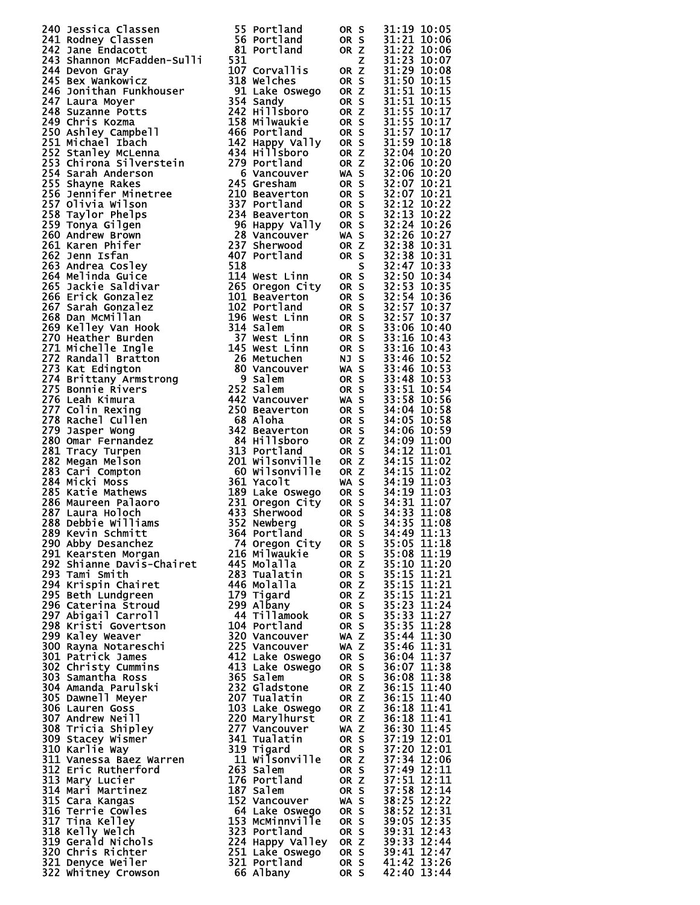| 240 Jessica Classen<br>241 Rodney Classen<br>26 Portland 08 S 31:19 10:05<br>242 Jane Endacott<br>242 Jane Endacott<br>242 Jane Endacott<br>242 Jane Endacott<br>244 Demonstrate Proteins<br>244 Demonstrate Proteins<br>244 Schemate Proteins<br> |  |  |
|----------------------------------------------------------------------------------------------------------------------------------------------------------------------------------------------------------------------------------------------------|--|--|
|                                                                                                                                                                                                                                                    |  |  |
|                                                                                                                                                                                                                                                    |  |  |
|                                                                                                                                                                                                                                                    |  |  |
|                                                                                                                                                                                                                                                    |  |  |
|                                                                                                                                                                                                                                                    |  |  |
|                                                                                                                                                                                                                                                    |  |  |
|                                                                                                                                                                                                                                                    |  |  |
|                                                                                                                                                                                                                                                    |  |  |
|                                                                                                                                                                                                                                                    |  |  |
|                                                                                                                                                                                                                                                    |  |  |
|                                                                                                                                                                                                                                                    |  |  |
|                                                                                                                                                                                                                                                    |  |  |
|                                                                                                                                                                                                                                                    |  |  |
|                                                                                                                                                                                                                                                    |  |  |
|                                                                                                                                                                                                                                                    |  |  |
|                                                                                                                                                                                                                                                    |  |  |
|                                                                                                                                                                                                                                                    |  |  |
|                                                                                                                                                                                                                                                    |  |  |
|                                                                                                                                                                                                                                                    |  |  |
|                                                                                                                                                                                                                                                    |  |  |
|                                                                                                                                                                                                                                                    |  |  |
|                                                                                                                                                                                                                                                    |  |  |
|                                                                                                                                                                                                                                                    |  |  |
|                                                                                                                                                                                                                                                    |  |  |
|                                                                                                                                                                                                                                                    |  |  |
|                                                                                                                                                                                                                                                    |  |  |
|                                                                                                                                                                                                                                                    |  |  |
|                                                                                                                                                                                                                                                    |  |  |
|                                                                                                                                                                                                                                                    |  |  |
|                                                                                                                                                                                                                                                    |  |  |
|                                                                                                                                                                                                                                                    |  |  |
|                                                                                                                                                                                                                                                    |  |  |
|                                                                                                                                                                                                                                                    |  |  |
|                                                                                                                                                                                                                                                    |  |  |
| 228 Laura Holoch<br>238 Debbie will liams<br>238 Debbie will liams<br>238 Debbie will liams<br>239 Newberg<br>239 Newberg<br>249 News 200 Abby Desanchez<br>249 News 23 Newberg<br>249 News 25 31:05 11:118<br>299 Nehay Desanchez<br>249 News 25  |  |  |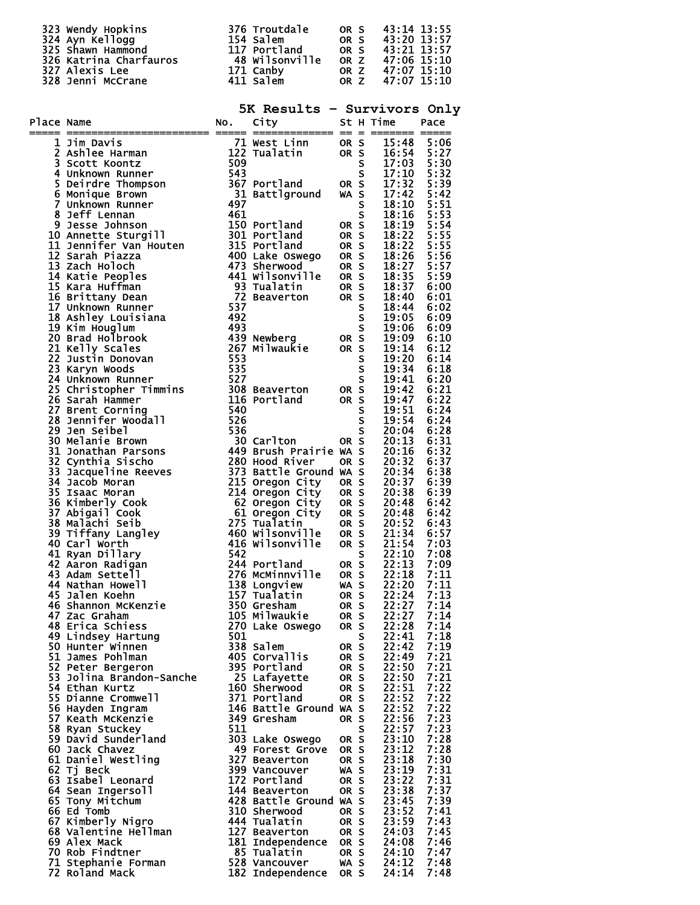|            |                                                                                                                                                                                                                                                                                     |     | 5K Results - Survivors Only                                  |              |   |                |              |
|------------|-------------------------------------------------------------------------------------------------------------------------------------------------------------------------------------------------------------------------------------------------------------------------------------|-----|--------------------------------------------------------------|--------------|---|----------------|--------------|
| Place Name | ace Name<br>$\frac{1}{2}$ Ashlue Harman<br>$\frac{1}{2}$ Ashlue Harman<br>$\frac{1}{2}$ Ashlue Harman<br>$\frac{1}{2}$ Ashlue Harman<br>$\frac{1}{2}$ Ashlue Harman<br>$\frac{1}{2}$ Ashlue Harman<br>$\frac{1}{2}$ Ashlue Harman<br>$\frac{1}{2}$ Ashlue Harman<br>$\frac{1}{2}$ A |     |                                                              |              |   |                |              |
|            |                                                                                                                                                                                                                                                                                     |     |                                                              |              |   |                |              |
|            |                                                                                                                                                                                                                                                                                     |     |                                                              |              |   |                |              |
|            |                                                                                                                                                                                                                                                                                     |     |                                                              |              |   |                |              |
|            |                                                                                                                                                                                                                                                                                     |     |                                                              |              |   |                |              |
|            |                                                                                                                                                                                                                                                                                     |     |                                                              |              |   |                |              |
|            |                                                                                                                                                                                                                                                                                     |     |                                                              |              |   |                |              |
|            |                                                                                                                                                                                                                                                                                     |     |                                                              |              |   |                |              |
|            |                                                                                                                                                                                                                                                                                     |     |                                                              |              |   |                |              |
|            |                                                                                                                                                                                                                                                                                     |     |                                                              |              |   |                |              |
|            |                                                                                                                                                                                                                                                                                     |     |                                                              |              |   |                |              |
|            |                                                                                                                                                                                                                                                                                     |     |                                                              |              |   |                |              |
|            |                                                                                                                                                                                                                                                                                     |     |                                                              |              |   |                |              |
|            |                                                                                                                                                                                                                                                                                     |     |                                                              |              |   |                |              |
|            |                                                                                                                                                                                                                                                                                     |     |                                                              |              |   |                |              |
|            |                                                                                                                                                                                                                                                                                     |     |                                                              |              |   |                |              |
|            |                                                                                                                                                                                                                                                                                     |     |                                                              |              |   |                |              |
|            |                                                                                                                                                                                                                                                                                     |     |                                                              |              |   |                |              |
|            |                                                                                                                                                                                                                                                                                     |     |                                                              |              |   |                |              |
|            |                                                                                                                                                                                                                                                                                     |     |                                                              |              |   |                |              |
|            |                                                                                                                                                                                                                                                                                     |     |                                                              |              |   |                |              |
|            |                                                                                                                                                                                                                                                                                     |     |                                                              |              |   |                |              |
|            |                                                                                                                                                                                                                                                                                     |     |                                                              |              |   |                |              |
|            |                                                                                                                                                                                                                                                                                     |     |                                                              |              |   |                |              |
|            |                                                                                                                                                                                                                                                                                     |     |                                                              |              |   |                |              |
|            |                                                                                                                                                                                                                                                                                     |     |                                                              |              |   |                |              |
|            |                                                                                                                                                                                                                                                                                     |     |                                                              |              |   |                |              |
|            |                                                                                                                                                                                                                                                                                     |     |                                                              |              |   |                |              |
|            |                                                                                                                                                                                                                                                                                     |     |                                                              |              |   |                |              |
|            |                                                                                                                                                                                                                                                                                     |     |                                                              |              |   |                |              |
|            |                                                                                                                                                                                                                                                                                     |     |                                                              |              |   |                |              |
|            |                                                                                                                                                                                                                                                                                     |     |                                                              |              |   |                |              |
|            |                                                                                                                                                                                                                                                                                     |     |                                                              |              |   |                |              |
|            |                                                                                                                                                                                                                                                                                     |     |                                                              |              |   |                |              |
|            |                                                                                                                                                                                                                                                                                     |     |                                                              |              |   |                |              |
|            | 41 Ryan Dillary                                                                                                                                                                                                                                                                     | 542 | 244 Portland                                                 | OR S         | S | 22:10<br>22:13 | 7:08<br>7:09 |
|            | 42 Aaron Radigan<br>43 Adam Settell                                                                                                                                                                                                                                                 |     | 276 McMinnville                                              | OR S         |   | 22:18          | 7:11         |
|            | 44 Nathan Howell                                                                                                                                                                                                                                                                    |     | 138 Longview                                                 | WA S         |   | 22:20          | 7:11         |
|            | 45 Jalen Koehn                                                                                                                                                                                                                                                                      |     | 157 Tualatin                                                 | OR S         |   | 22:24          | 7:13         |
|            | 46 Shannon McKenzie                                                                                                                                                                                                                                                                 |     | 350 Gresham<br>105 Milwaukie                                 | OR S         |   | 22:27          | 7:14         |
|            | 47 Zac Graham<br>48 Erica Schiess                                                                                                                                                                                                                                                   |     | 270 Lake Oswego                                              | OR S<br>OR S |   | 22:27<br>22:28 | 7:14<br>7:14 |
|            | 49 Lindsey Hartung                                                                                                                                                                                                                                                                  | 501 |                                                              |              | S | 22:41          | 7:18         |
|            | 50 Hunter Winnen                                                                                                                                                                                                                                                                    |     | 338 Salem                                                    | OR S         |   | 22:42          | 7:19         |
|            | 51 James Pohlman                                                                                                                                                                                                                                                                    |     | 405 Corvallis<br>395 Portland                                | OR S         |   | 22:49          | 7:21         |
|            | 52 Peter Bergeron<br>53 Jolina Brandon-Sanche                                                                                                                                                                                                                                       |     | 25 Lafayette                                                 | OR S<br>OR S |   | 22:50<br>22:50 | 7:21<br>7:21 |
|            | 54 Ethan Kurtz                                                                                                                                                                                                                                                                      |     | 160 Sherwood                                                 | OR S         |   | 22:51          | 7:22         |
|            | 55 Dianne Cromwell                                                                                                                                                                                                                                                                  |     | 371 Portland                                                 | OR S         |   | 22:52          | 7:22         |
|            | 56 Hayden Ingram                                                                                                                                                                                                                                                                    |     | 146 Battle Ground WA S                                       |              |   | 22:52          | 7:22         |
|            | 57 Keath McKenzie                                                                                                                                                                                                                                                                   |     | 349 Gresham                                                  | OR S         |   | 22:56          | 7:23         |
|            | 58 Ryan Stuckey<br>59 David Sunderland                                                                                                                                                                                                                                              | 511 | 303 Lake Oswego                                              | OR S         | S | 22:57<br>23:10 | 7:23<br>7:28 |
|            | 60 Jack Chavez                                                                                                                                                                                                                                                                      |     | 49 Forest Grove                                              | OR S         |   | 23:12          | 7:28         |
|            | 61 Daniel Westling                                                                                                                                                                                                                                                                  |     | 327 Beaverton                                                | OR S         |   | 23:18          | 7:30         |
|            | 62 Tj Beck                                                                                                                                                                                                                                                                          |     | 399 Vancouver                                                | WA S         |   | 23:19          | 7:31         |
|            | 63 Isabel Leonard                                                                                                                                                                                                                                                                   |     | 172 Portland                                                 | OR S         |   | 23:22          | 7:31         |
|            | 64 Sean Ingersoll<br>65 Tony Mitchum                                                                                                                                                                                                                                                |     | 144 Beaverton<br>428 Battle Ground WA S                      | OR S         |   | 23:38<br>23:45 | 7:37<br>7:39 |
|            | 66 Ed Tomb                                                                                                                                                                                                                                                                          |     | 310 Sherwood                                                 | OR S         |   | 23:52          | 7:41         |
|            |                                                                                                                                                                                                                                                                                     |     | 444 Tualatin                                                 | OR S         |   | 23:59          | 7:43         |
|            | 67 Kimberly Nigro<br>68 Valentine Hellman                                                                                                                                                                                                                                           |     | 127 Beaverton<br>127 Beaverton OR S<br>181 Independence OR S |              |   | 24:03          | 7:45         |
|            | 69 Alex Mack                                                                                                                                                                                                                                                                        |     |                                                              |              |   | 24:08          | 7:46         |
|            | 70 Rob Findtner<br>71 Stephanie Forman                                                                                                                                                                                                                                              |     | 85 Tualatin<br>528 Vancouver                                 | OR S<br>WA S |   | 24:10<br>24:12 | 7:47<br>7:48 |
|            | <b>72 Roland Mack</b>                                                                                                                                                                                                                                                               |     | 182 Independence                                             | OR S         |   | 24:14          | 7:48         |
|            |                                                                                                                                                                                                                                                                                     |     |                                                              |              |   |                |              |

323 Wendy Hopkins 376 Troutdale OR S 43:14 13:55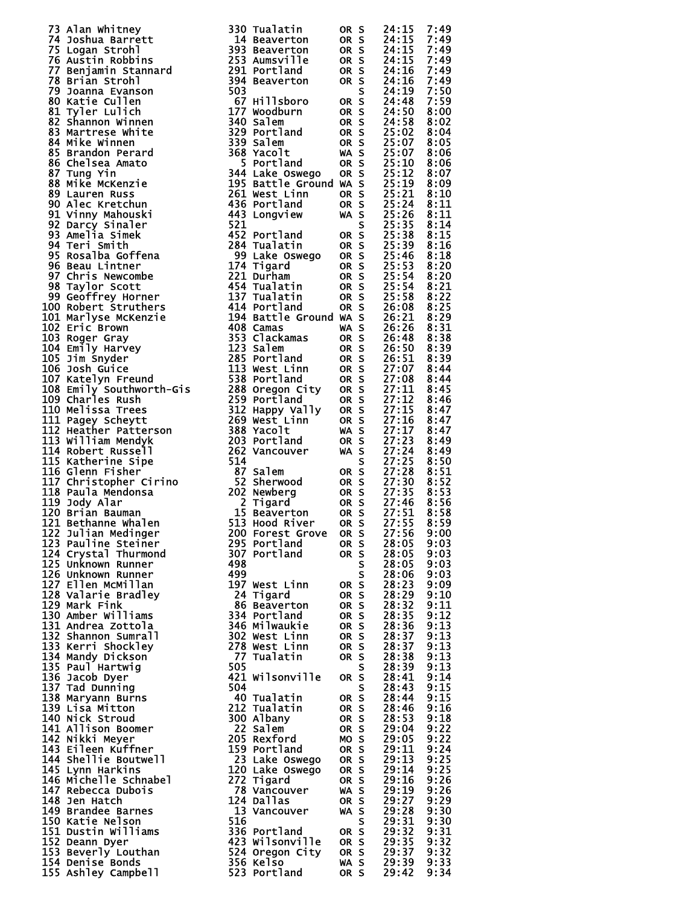| 73 Alan whitney<br>The Common Strohlin and The Malatin 00 RS 24:15 7:49<br>75 Alan whitney<br>76 Logan Strohlins 3903 Beaverton 00 RS 24:15 7:49<br>776 Logan Strohlins<br>776 Alastin Robbins<br>776 Alastin Robbins<br>776 Alastin Robbin            |     |                                                                                                                        |                   |           |                                                                                                                                                          |      |
|--------------------------------------------------------------------------------------------------------------------------------------------------------------------------------------------------------------------------------------------------------|-----|------------------------------------------------------------------------------------------------------------------------|-------------------|-----------|----------------------------------------------------------------------------------------------------------------------------------------------------------|------|
|                                                                                                                                                                                                                                                        |     |                                                                                                                        |                   |           |                                                                                                                                                          |      |
|                                                                                                                                                                                                                                                        |     |                                                                                                                        |                   |           |                                                                                                                                                          |      |
|                                                                                                                                                                                                                                                        |     |                                                                                                                        |                   |           |                                                                                                                                                          |      |
|                                                                                                                                                                                                                                                        |     |                                                                                                                        |                   |           |                                                                                                                                                          |      |
|                                                                                                                                                                                                                                                        |     |                                                                                                                        |                   |           |                                                                                                                                                          |      |
|                                                                                                                                                                                                                                                        |     |                                                                                                                        |                   |           |                                                                                                                                                          |      |
|                                                                                                                                                                                                                                                        |     |                                                                                                                        |                   |           |                                                                                                                                                          |      |
|                                                                                                                                                                                                                                                        |     |                                                                                                                        |                   |           |                                                                                                                                                          |      |
|                                                                                                                                                                                                                                                        |     |                                                                                                                        |                   |           |                                                                                                                                                          |      |
|                                                                                                                                                                                                                                                        |     |                                                                                                                        |                   |           |                                                                                                                                                          |      |
|                                                                                                                                                                                                                                                        |     |                                                                                                                        |                   |           |                                                                                                                                                          |      |
|                                                                                                                                                                                                                                                        |     |                                                                                                                        |                   |           |                                                                                                                                                          |      |
|                                                                                                                                                                                                                                                        |     |                                                                                                                        |                   |           |                                                                                                                                                          |      |
|                                                                                                                                                                                                                                                        |     |                                                                                                                        |                   |           |                                                                                                                                                          |      |
|                                                                                                                                                                                                                                                        |     |                                                                                                                        |                   |           |                                                                                                                                                          |      |
|                                                                                                                                                                                                                                                        |     |                                                                                                                        |                   |           |                                                                                                                                                          |      |
|                                                                                                                                                                                                                                                        |     |                                                                                                                        |                   |           |                                                                                                                                                          |      |
|                                                                                                                                                                                                                                                        |     |                                                                                                                        |                   |           |                                                                                                                                                          |      |
|                                                                                                                                                                                                                                                        |     |                                                                                                                        |                   |           |                                                                                                                                                          |      |
|                                                                                                                                                                                                                                                        |     |                                                                                                                        |                   |           |                                                                                                                                                          |      |
|                                                                                                                                                                                                                                                        |     |                                                                                                                        |                   |           |                                                                                                                                                          |      |
|                                                                                                                                                                                                                                                        |     |                                                                                                                        |                   |           |                                                                                                                                                          |      |
|                                                                                                                                                                                                                                                        |     |                                                                                                                        |                   |           |                                                                                                                                                          |      |
|                                                                                                                                                                                                                                                        |     |                                                                                                                        |                   |           |                                                                                                                                                          |      |
|                                                                                                                                                                                                                                                        |     |                                                                                                                        |                   |           |                                                                                                                                                          |      |
|                                                                                                                                                                                                                                                        |     |                                                                                                                        |                   |           |                                                                                                                                                          |      |
|                                                                                                                                                                                                                                                        |     |                                                                                                                        |                   |           |                                                                                                                                                          |      |
|                                                                                                                                                                                                                                                        |     |                                                                                                                        |                   |           |                                                                                                                                                          |      |
|                                                                                                                                                                                                                                                        |     |                                                                                                                        |                   |           |                                                                                                                                                          |      |
|                                                                                                                                                                                                                                                        |     |                                                                                                                        |                   |           |                                                                                                                                                          |      |
|                                                                                                                                                                                                                                                        |     |                                                                                                                        |                   |           |                                                                                                                                                          |      |
|                                                                                                                                                                                                                                                        |     |                                                                                                                        |                   |           |                                                                                                                                                          |      |
|                                                                                                                                                                                                                                                        |     |                                                                                                                        |                   |           |                                                                                                                                                          |      |
|                                                                                                                                                                                                                                                        |     |                                                                                                                        |                   |           |                                                                                                                                                          |      |
|                                                                                                                                                                                                                                                        |     |                                                                                                                        |                   |           |                                                                                                                                                          |      |
|                                                                                                                                                                                                                                                        |     |                                                                                                                        |                   |           |                                                                                                                                                          |      |
|                                                                                                                                                                                                                                                        |     |                                                                                                                        |                   |           |                                                                                                                                                          |      |
|                                                                                                                                                                                                                                                        |     |                                                                                                                        |                   |           |                                                                                                                                                          |      |
|                                                                                                                                                                                                                                                        |     |                                                                                                                        |                   |           |                                                                                                                                                          |      |
|                                                                                                                                                                                                                                                        |     |                                                                                                                        |                   |           |                                                                                                                                                          |      |
|                                                                                                                                                                                                                                                        |     |                                                                                                                        |                   |           |                                                                                                                                                          |      |
|                                                                                                                                                                                                                                                        |     |                                                                                                                        |                   |           |                                                                                                                                                          |      |
|                                                                                                                                                                                                                                                        |     |                                                                                                                        |                   |           |                                                                                                                                                          |      |
|                                                                                                                                                                                                                                                        |     |                                                                                                                        |                   |           |                                                                                                                                                          |      |
|                                                                                                                                                                                                                                                        |     |                                                                                                                        |                   |           |                                                                                                                                                          |      |
|                                                                                                                                                                                                                                                        |     |                                                                                                                        |                   |           |                                                                                                                                                          |      |
|                                                                                                                                                                                                                                                        |     |                                                                                                                        |                   |           |                                                                                                                                                          |      |
|                                                                                                                                                                                                                                                        |     |                                                                                                                        |                   |           |                                                                                                                                                          |      |
|                                                                                                                                                                                                                                                        |     |                                                                                                                        |                   |           |                                                                                                                                                          |      |
|                                                                                                                                                                                                                                                        |     |                                                                                                                        |                   |           |                                                                                                                                                          |      |
|                                                                                                                                                                                                                                                        |     |                                                                                                                        |                   |           |                                                                                                                                                          |      |
|                                                                                                                                                                                                                                                        |     |                                                                                                                        |                   |           |                                                                                                                                                          |      |
|                                                                                                                                                                                                                                                        |     |                                                                                                                        |                   |           |                                                                                                                                                          |      |
|                                                                                                                                                                                                                                                        |     |                                                                                                                        |                   |           |                                                                                                                                                          |      |
|                                                                                                                                                                                                                                                        |     |                                                                                                                        |                   |           |                                                                                                                                                          |      |
|                                                                                                                                                                                                                                                        |     |                                                                                                                        |                   |           |                                                                                                                                                          |      |
|                                                                                                                                                                                                                                                        |     |                                                                                                                        |                   |           |                                                                                                                                                          |      |
|                                                                                                                                                                                                                                                        |     |                                                                                                                        |                   |           |                                                                                                                                                          |      |
| 124 Crysta<br>125 Unknown Runner<br>126 Unknown Runner<br>127 Ellen McMillan<br>128 Valarie Bradley<br>129 Mark Fink<br>130 Amber Williams<br>130 Amber Williams<br>130 Amber Williams<br>130 Amber Williams<br>130 Amber Williams<br>1302 West Linn   |     |                                                                                                                        |                   |           |                                                                                                                                                          |      |
|                                                                                                                                                                                                                                                        |     |                                                                                                                        |                   |           |                                                                                                                                                          |      |
|                                                                                                                                                                                                                                                        |     |                                                                                                                        |                   |           |                                                                                                                                                          |      |
|                                                                                                                                                                                                                                                        |     |                                                                                                                        |                   | S         | 28:06                                                                                                                                                    | 9:03 |
|                                                                                                                                                                                                                                                        |     | 197 West Linn OR S                                                                                                     |                   |           |                                                                                                                                                          | 9:09 |
|                                                                                                                                                                                                                                                        |     |                                                                                                                        |                   |           | 28:23<br>28:29                                                                                                                                           |      |
|                                                                                                                                                                                                                                                        |     |                                                                                                                        | OR S              |           |                                                                                                                                                          | 9:10 |
|                                                                                                                                                                                                                                                        |     |                                                                                                                        | OR S              |           | 28:32<br>28:35                                                                                                                                           | 9:11 |
|                                                                                                                                                                                                                                                        |     |                                                                                                                        | OR S              |           |                                                                                                                                                          | 9:12 |
|                                                                                                                                                                                                                                                        |     |                                                                                                                        |                   |           | OR S 28:36<br>OR S 28:37                                                                                                                                 | 9:13 |
|                                                                                                                                                                                                                                                        |     |                                                                                                                        |                   |           |                                                                                                                                                          | 9:13 |
|                                                                                                                                                                                                                                                        |     |                                                                                                                        |                   |           |                                                                                                                                                          | 9:13 |
|                                                                                                                                                                                                                                                        |     |                                                                                                                        | OR S              |           | 28:37<br>28:38                                                                                                                                           |      |
|                                                                                                                                                                                                                                                        |     | 77 Tualatin                                                                                                            | OR S              |           |                                                                                                                                                          | 9:13 |
|                                                                                                                                                                                                                                                        | 505 |                                                                                                                        |                   | S<br>OR S | 28:39                                                                                                                                                    | 9:13 |
|                                                                                                                                                                                                                                                        |     | 421 Wilsonville                                                                                                        |                   |           |                                                                                                                                                          | 9:14 |
|                                                                                                                                                                                                                                                        | 504 |                                                                                                                        |                   |           |                                                                                                                                                          | 9:15 |
|                                                                                                                                                                                                                                                        |     |                                                                                                                        |                   |           |                                                                                                                                                          |      |
| 133 Kerri Snockley<br>134 Mandy Dickson<br>135 Paul Hartwig<br>136 Jacob Dyer<br>137 Tad Dunning<br>138 Maryann Burns<br>139 Lisa Mitton<br>140 Nick Stroud<br>141 Allison Boomer<br>142 Nikki Meyer                                                   |     | 40 Tualatin                                                                                                            |                   |           | $\begin{array}{r} 6:41 \\ \text{S} & 28:43 \\ \text{OR} & 5 & 28:44 \\ \text{OR} & 5 & 28:46 \\ \text{OR} & 5 & 28:52 \\ \text{OR} & 5 & 52 \end{array}$ | 9:15 |
|                                                                                                                                                                                                                                                        |     | 212 Tualatin                                                                                                           |                   |           |                                                                                                                                                          | 9:16 |
|                                                                                                                                                                                                                                                        |     |                                                                                                                        |                   |           |                                                                                                                                                          | 9:18 |
|                                                                                                                                                                                                                                                        |     |                                                                                                                        |                   |           | 29:04                                                                                                                                                    | 9:22 |
|                                                                                                                                                                                                                                                        |     | 22 Albany<br>22 Salem<br>205 Pris<br>205 Rexford                                                                       | ORS<br>ORS<br>MOS |           | 29:05                                                                                                                                                    | 9:22 |
|                                                                                                                                                                                                                                                        |     |                                                                                                                        |                   |           |                                                                                                                                                          |      |
| 143 Eileen Kuffner<br>144 Shellie Boutwell<br>145 Lynn Harkins                                                                                                                                                                                         |     | 159 Portland OR S                                                                                                      |                   |           | 29:11<br>29:13                                                                                                                                           | 9:24 |
|                                                                                                                                                                                                                                                        |     |                                                                                                                        |                   |           |                                                                                                                                                          | 9:25 |
| 145 Lynn Harkins                                                                                                                                                                                                                                       |     | Assementiand OR S<br>23 Lake Oswego OR S<br>120 Lake Oswego OR S<br>272 Tigard OR S<br>78 Vancouver WA S<br>124 Dallas |                   |           | 29:14                                                                                                                                                    | 9:25 |
| 146 Michelle Schnabel<br>146 Michelle Schnabel<br>148 Jen Hatch                                                                                                                                                                                        |     |                                                                                                                        |                   |           | 29:16                                                                                                                                                    | 9:26 |
|                                                                                                                                                                                                                                                        |     |                                                                                                                        |                   |           | 29:19                                                                                                                                                    | 9:26 |
|                                                                                                                                                                                                                                                        |     |                                                                                                                        |                   |           |                                                                                                                                                          |      |
| 148 Jen Hatch                                                                                                                                                                                                                                          |     |                                                                                                                        |                   |           | 29:27                                                                                                                                                    | 9:29 |
| 149 Brandee Barnes                                                                                                                                                                                                                                     |     | 13 Vancouver WA S<br>516                                                                                               |                   |           | 29:28                                                                                                                                                    | 9:30 |
| 150 Katie Nelson                                                                                                                                                                                                                                       |     |                                                                                                                        |                   |           | 29:31                                                                                                                                                    | 9:30 |
| 151 Dustin Williams                                                                                                                                                                                                                                    |     | $336$ Portland oR S                                                                                                    |                   |           | 29:32<br>29:35                                                                                                                                           | 9:31 |
|                                                                                                                                                                                                                                                        |     | 423 Wilsonville ORS                                                                                                    |                   |           |                                                                                                                                                          |      |
| 152 Deann Dyer                                                                                                                                                                                                                                         |     |                                                                                                                        |                   |           | 29:35                                                                                                                                                    | 9:32 |
|                                                                                                                                                                                                                                                        |     |                                                                                                                        |                   |           |                                                                                                                                                          |      |
|                                                                                                                                                                                                                                                        |     |                                                                                                                        |                   |           |                                                                                                                                                          |      |
| 153 Beverly Louthan<br>153 Beverly Louthan<br>154 Denise Bonds<br>155 Ashley Campbell<br>155 Ashley Campbell<br>155 Ashley Campbell<br>155 Ashley Campbell<br>158 Ashley Campbell<br>158 Ashley Campbell<br>158 Ashley Campbell<br>168 Ashley Campbell |     |                                                                                                                        |                   |           |                                                                                                                                                          | 9:34 |
|                                                                                                                                                                                                                                                        |     |                                                                                                                        |                   |           |                                                                                                                                                          |      |

| 73 Alan whitney<br>14 Alan Mothers (1920) Band at the search on S 24:115 7:49<br>14 Academy Strohlan Samples (1938) Bandwerton ON S 24:115 7:49<br>176 Logarn Strohland<br>176 Acastin mobiling<br>176 Acastin mobiling<br>1776 Acastin m |     |                                                       |      |      |       |      |
|-------------------------------------------------------------------------------------------------------------------------------------------------------------------------------------------------------------------------------------------|-----|-------------------------------------------------------|------|------|-------|------|
|                                                                                                                                                                                                                                           |     |                                                       |      |      |       |      |
|                                                                                                                                                                                                                                           |     |                                                       |      |      |       |      |
|                                                                                                                                                                                                                                           |     |                                                       |      |      |       |      |
|                                                                                                                                                                                                                                           |     |                                                       |      |      |       |      |
|                                                                                                                                                                                                                                           |     |                                                       |      |      |       |      |
|                                                                                                                                                                                                                                           |     |                                                       |      |      |       |      |
|                                                                                                                                                                                                                                           |     |                                                       |      |      |       |      |
| 123 Pauline Steiner                                                                                                                                                                                                                       |     | 295 Portland                                          | OR S |      | 28:05 | 9:03 |
| 124 Crystal Thurmond                                                                                                                                                                                                                      |     | 307 Portland                                          |      |      |       |      |
|                                                                                                                                                                                                                                           |     |                                                       | OR S |      | 28:05 | 9:03 |
| 125 Unknown Runner                                                                                                                                                                                                                        | 498 |                                                       |      | S    | 28:05 | 9:03 |
| 126 Unknown Runner                                                                                                                                                                                                                        | 499 |                                                       |      | S    | 28:06 | 9:03 |
| 127 Ellen McMillan                                                                                                                                                                                                                        |     | 197 West Linn                                         | OR S |      | 28:23 | 9:09 |
| 128 Valarie Bradley                                                                                                                                                                                                                       |     | 24 Tigard                                             | OR S |      | 28:29 | 9:10 |
| 129 Mark Fink                                                                                                                                                                                                                             |     | 86 Beaverton                                          | OR S |      | 28:32 | 9:11 |
| 130 Amber Williams                                                                                                                                                                                                                        |     | 334 Portland                                          | OR S |      | 28:35 | 9:12 |
| 131 Andrea Zottola                                                                                                                                                                                                                        |     | <b>346 Milwaukie</b>                                  | OR S |      |       | 9:13 |
|                                                                                                                                                                                                                                           |     |                                                       |      |      | 28:36 |      |
| 132 Shannon Sumrall                                                                                                                                                                                                                       |     | 302 West Linn                                         | OR S |      | 28:37 | 9:13 |
| 133 Kerri Shockley                                                                                                                                                                                                                        |     | 278 West Linn                                         | OR S |      | 28:37 | 9:13 |
| 134 Mandy Dickson                                                                                                                                                                                                                         |     | 77 Tualatin                                           | OR S |      | 28:38 | 9:13 |
| 135 Paul Hartwig                                                                                                                                                                                                                          | 505 |                                                       |      | S.   | 28:39 | 9:13 |
| 136 Jacob Dyer                                                                                                                                                                                                                            |     | 421 Wilsonville                                       |      | OR S | 28:41 | 9:14 |
|                                                                                                                                                                                                                                           | 504 |                                                       |      |      |       | 9:15 |
| 137 Tad Dunning                                                                                                                                                                                                                           |     |                                                       |      | S.   | 28:43 |      |
| 138 Maryann Burns                                                                                                                                                                                                                         |     | 40 Tualatin                                           |      | OR S | 28:44 | 9:15 |
| 139 Lisa Mitton                                                                                                                                                                                                                           |     | 212 Tualatin                                          | OR S |      | 28:46 | 9:16 |
| 140 Nick Stroud                                                                                                                                                                                                                           |     | 300 Albany                                            | OR S |      | 28:53 | 9:18 |
| 141 Allison Boomer                                                                                                                                                                                                                        |     | 22 Salem                                              | OR S |      | 29:04 | 9:22 |
| 142 Nikki Meyer                                                                                                                                                                                                                           |     | 205 Rexford                                           | MO S |      | 29:05 | 9:22 |
| 143 Eileen Kuffner                                                                                                                                                                                                                        |     | 159 Portland<br>OR S                                  |      |      | 29:11 | 9:24 |
|                                                                                                                                                                                                                                           |     |                                                       |      |      |       | 9:25 |
| <b>144 Shellie Boutwell</b>                                                                                                                                                                                                               |     | 23 Lake Oswego                                        | OR S |      | 29:13 |      |
| 145 Lynn Harkins                                                                                                                                                                                                                          |     |                                                       | OR S |      | 29:14 | 9:25 |
| 146 Michelle Schnabel                                                                                                                                                                                                                     |     | 120 Lake Oswego<br>272 Tigard<br>78 Vancouver         | OR S |      | 29:16 | 9:26 |
| 147 Rebecca Dubois                                                                                                                                                                                                                        |     |                                                       | WA S |      | 29:19 | 9:26 |
| 148 Jen Hatch                                                                                                                                                                                                                             |     | 124 Dallas                                            | OR S |      | 29:27 | 9:29 |
| 149 Brandee Barnes                                                                                                                                                                                                                        |     | 13 Vancouver                                          | WA S |      | 29:28 | 9:30 |
|                                                                                                                                                                                                                                           |     |                                                       |      | S    |       |      |
| 150 Katie Nelson                                                                                                                                                                                                                          |     |                                                       |      |      |       |      |
|                                                                                                                                                                                                                                           | 516 |                                                       |      |      | 29:31 | 9:30 |
| 151 Dustin Williams                                                                                                                                                                                                                       |     |                                                       |      |      |       | 9:31 |
| 152 Deann Dyer                                                                                                                                                                                                                            |     |                                                       |      |      |       | 9:32 |
|                                                                                                                                                                                                                                           |     | 336 Portland OR S 29:32<br>423 Wilsonville OR S 29:35 |      |      |       |      |
| 153 Beverly Louthan<br>154 Denise Bonds<br>154 Denise Bonds<br>155 Ashley Campbell<br>155 Ashley Campbell<br>155 Ashley Campbell<br>167 2011                                                                                              |     |                                                       |      |      |       |      |

|  | 11111111445500011112223333455550224550011111112222333455156515669882770291465896344881688017812567345805615 |                                  |                                                                                   |
|--|-------------------------------------------------------------------------------------------------------------|----------------------------------|-----------------------------------------------------------------------------------|
|  |                                                                                                             |                                  |                                                                                   |
|  |                                                                                                             |                                  |                                                                                   |
|  |                                                                                                             |                                  |                                                                                   |
|  |                                                                                                             |                                  |                                                                                   |
|  |                                                                                                             |                                  |                                                                                   |
|  |                                                                                                             |                                  |                                                                                   |
|  |                                                                                                             |                                  |                                                                                   |
|  |                                                                                                             |                                  |                                                                                   |
|  |                                                                                                             |                                  |                                                                                   |
|  |                                                                                                             |                                  |                                                                                   |
|  |                                                                                                             |                                  |                                                                                   |
|  |                                                                                                             |                                  |                                                                                   |
|  |                                                                                                             |                                  |                                                                                   |
|  |                                                                                                             |                                  |                                                                                   |
|  |                                                                                                             |                                  |                                                                                   |
|  |                                                                                                             |                                  |                                                                                   |
|  |                                                                                                             |                                  |                                                                                   |
|  |                                                                                                             |                                  |                                                                                   |
|  |                                                                                                             |                                  |                                                                                   |
|  |                                                                                                             |                                  |                                                                                   |
|  |                                                                                                             |                                  |                                                                                   |
|  |                                                                                                             |                                  |                                                                                   |
|  |                                                                                                             |                                  |                                                                                   |
|  |                                                                                                             |                                  |                                                                                   |
|  |                                                                                                             |                                  |                                                                                   |
|  |                                                                                                             |                                  |                                                                                   |
|  |                                                                                                             |                                  |                                                                                   |
|  |                                                                                                             |                                  |                                                                                   |
|  |                                                                                                             |                                  |                                                                                   |
|  |                                                                                                             |                                  |                                                                                   |
|  |                                                                                                             |                                  |                                                                                   |
|  |                                                                                                             |                                  |                                                                                   |
|  |                                                                                                             |                                  |                                                                                   |
|  |                                                                                                             |                                  |                                                                                   |
|  |                                                                                                             |                                  |                                                                                   |
|  |                                                                                                             |                                  |                                                                                   |
|  |                                                                                                             |                                  |                                                                                   |
|  |                                                                                                             |                                  |                                                                                   |
|  |                                                                                                             |                                  |                                                                                   |
|  |                                                                                                             |                                  |                                                                                   |
|  |                                                                                                             |                                  |                                                                                   |
|  |                                                                                                             |                                  |                                                                                   |
|  |                                                                                                             |                                  |                                                                                   |
|  |                                                                                                             |                                  |                                                                                   |
|  |                                                                                                             |                                  |                                                                                   |
|  |                                                                                                             |                                  |                                                                                   |
|  |                                                                                                             |                                  |                                                                                   |
|  |                                                                                                             |                                  |                                                                                   |
|  |                                                                                                             |                                  |                                                                                   |
|  |                                                                                                             |                                  |                                                                                   |
|  |                                                                                                             |                                  |                                                                                   |
|  |                                                                                                             |                                  |                                                                                   |
|  |                                                                                                             |                                  |                                                                                   |
|  |                                                                                                             |                                  |                                                                                   |
|  |                                                                                                             |                                  |                                                                                   |
|  |                                                                                                             |                                  |                                                                                   |
|  |                                                                                                             |                                  |                                                                                   |
|  |                                                                                                             |                                  |                                                                                   |
|  |                                                                                                             |                                  |                                                                                   |
|  |                                                                                                             |                                  |                                                                                   |
|  |                                                                                                             |                                  |                                                                                   |
|  |                                                                                                             |                                  |                                                                                   |
|  |                                                                                                             |                                  |                                                                                   |
|  |                                                                                                             |                                  |                                                                                   |
|  |                                                                                                             |                                  |                                                                                   |
|  |                                                                                                             |                                  |                                                                                   |
|  |                                                                                                             |                                  |                                                                                   |
|  |                                                                                                             |                                  |                                                                                   |
|  |                                                                                                             |                                  |                                                                                   |
|  |                                                                                                             |                                  |                                                                                   |
|  |                                                                                                             |                                  |                                                                                   |
|  |                                                                                                             |                                  |                                                                                   |
|  |                                                                                                             |                                  |                                                                                   |
|  |                                                                                                             |                                  |                                                                                   |
|  |                                                                                                             |                                  |                                                                                   |
|  |                                                                                                             |                                  |                                                                                   |
|  |                                                                                                             |                                  |                                                                                   |
|  |                                                                                                             |                                  |                                                                                   |
|  |                                                                                                             |                                  |                                                                                   |
|  |                                                                                                             |                                  |                                                                                   |
|  |                                                                                                             |                                  |                                                                                   |
|  |                                                                                                             |                                  |                                                                                   |
|  |                                                                                                             |                                  |                                                                                   |
|  |                                                                                                             |                                  |                                                                                   |
|  |                                                                                                             |                                  |                                                                                   |
|  |                                                                                                             |                                  |                                                                                   |
|  |                                                                                                             |                                  |                                                                                   |
|  |                                                                                                             |                                  |                                                                                   |
|  |                                                                                                             |                                  |                                                                                   |
|  |                                                                                                             |                                  |                                                                                   |
|  |                                                                                                             |                                  |                                                                                   |
|  |                                                                                                             |                                  |                                                                                   |
|  |                                                                                                             |                                  |                                                                                   |
|  |                                                                                                             |                                  |                                                                                   |
|  |                                                                                                             |                                  |                                                                                   |
|  |                                                                                                             |                                  |                                                                                   |
|  |                                                                                                             |                                  |                                                                                   |
|  |                                                                                                             |                                  |                                                                                   |
|  | 50000022333333344445001111112233333345655563923334444450011111223333334                                     | 99999999999999999999999999999999 | 444445500000000111111112222233334444444455555500000011111111111111222222333333333 |
|  |                                                                                                             |                                  |                                                                                   |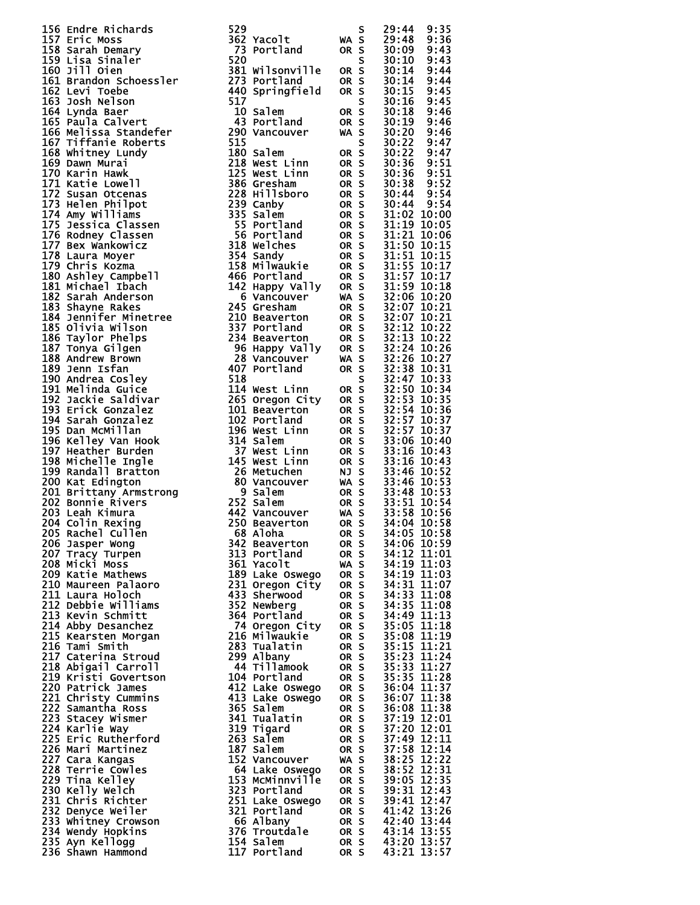| 156                                           | Endre Richards                    |
|-----------------------------------------------|-----------------------------------|
| 157                                           | Eric Moss                         |
| 158                                           | Sarah Demary                      |
| 159                                           | Lisa Sinaler                      |
| 160                                           | Jill Oien                         |
| 161                                           | Brandon Schoessler                |
| 162                                           | Levi Toebe<br>Josh Nelson         |
| 163                                           |                                   |
| 164                                           | Lynda Baer                        |
| 165                                           | Paula Calvert                     |
| 166                                           | Melissa Standefer                 |
| 167                                           | <b>Tiffanie Roberts</b>           |
| 168<br>169                                    | Whitney Lundy<br>Dawn Murai       |
| 170                                           | Karin Hawk                        |
| 171                                           | Katie Lowell                      |
| 172                                           |                                   |
| 173                                           | Susan Otcenas<br>Helen Philpot    |
| 174                                           | Amy williams                      |
| 175                                           | Jessica Classen                   |
| 176                                           | Rodney Classen                    |
| 177                                           | Bex Wankowicz                     |
| 178                                           | Laura Moyer                       |
| 179                                           | Chris Kozma                       |
| 180<br>181                                    | Ashley_Campbell<br>Michael Ibach  |
| 182                                           | Sarah Anderson                    |
| 183                                           | Shayne Rakes                      |
| 184                                           | Jennifer Minetree                 |
| 185                                           | Olivia Wilson                     |
| 186                                           | Taylor Phelps                     |
| 187                                           | Tonya Gilgen                      |
| 188                                           | Andrew Brown                      |
| 189                                           | Jenn Isfan                        |
| 190                                           | Andrea Cosley                     |
| 191                                           | <b>Melinda Guice</b>              |
| 192                                           | Jackie Saldivar                   |
| 193                                           | Erick Gonzalez                    |
| 194<br>195                                    | Sarah Gonzalez<br>Dan McMillan    |
| 196                                           | Kelley Van Hook                   |
| 197                                           | Heather Burden                    |
| 198                                           |                                   |
| 199                                           | Michelle Ingle<br>Randall Bratton |
| 200                                           | Kat Edington                      |
| 201                                           | <b>Brittany Armstrong</b>         |
| 202                                           | Bonnie Rivers                     |
|                                               | 203 Leah Kimura                   |
| 204                                           | Colin Rexing                      |
|                                               | 205 Rachel Cullen                 |
| 206<br>207                                    | Jasper Wong                       |
|                                               | Tracy Turpen<br>Micki Moss        |
| 208<br>209                                    | Katie Mathews                     |
|                                               | Maureen Palaoro                   |
| 210<br>211                                    | Laura Holoch                      |
| 212                                           | Debbie Williams                   |
| 213                                           | Kevin Schmitt                     |
| 214                                           | Abby Desanchez                    |
| $\overline{2}\overline{1}5$                   | Kearsten Morgan                   |
| 216<br>$\bar{2}\bar{1}$ 7                     | Tami Smith<br>Caterina Stroud     |
|                                               | Abigail Carroll                   |
| Z18<br>219                                    | Kristi Govertson                  |
|                                               | Patrick James                     |
| 220<br>221                                    | Christy Cummins                   |
| 222<br>223<br>224<br>225                      | Samantha Ross                     |
|                                               | Stacey Wismer                     |
|                                               | Karlie Way                        |
|                                               | Eric Rutherford                   |
| 226<br>227                                    | Mari Martinez<br>Cara Kangas      |
|                                               |                                   |
| 228<br>229                                    | <b>Terrie Cowles</b>              |
|                                               | Tina Kelley<br>Kelly Welch        |
|                                               | Chris Richter                     |
|                                               | Denyce Weiler                     |
| 230<br>231<br>232<br>233<br>234<br>235<br>236 | Whitney Crowson                   |
|                                               | Wendy Hopkins                     |
|                                               | Ayn Kellogg                       |
|                                               | Shawn Hammond                     |

| 156 Endre Richards 529 Yacol 1 Max 5 29:344<br>157 Eric Moss and Pearl of the Sample 1 273 Yacol 1<br>185 Sample Point 2001 10 0 8 5 30:000 24:44<br>168 Sample Point 2001 11 0 0 8 30:000 24:44<br>162 Levi Toebe.<br>162 Levi Toebe.<br>162 L |                                                                                                                 |      |                                                                                                                                                                                                                                                                         |
|-------------------------------------------------------------------------------------------------------------------------------------------------------------------------------------------------------------------------------------------------|-----------------------------------------------------------------------------------------------------------------|------|-------------------------------------------------------------------------------------------------------------------------------------------------------------------------------------------------------------------------------------------------------------------------|
|                                                                                                                                                                                                                                                 |                                                                                                                 |      |                                                                                                                                                                                                                                                                         |
|                                                                                                                                                                                                                                                 |                                                                                                                 |      |                                                                                                                                                                                                                                                                         |
|                                                                                                                                                                                                                                                 |                                                                                                                 |      |                                                                                                                                                                                                                                                                         |
|                                                                                                                                                                                                                                                 |                                                                                                                 |      |                                                                                                                                                                                                                                                                         |
|                                                                                                                                                                                                                                                 |                                                                                                                 |      |                                                                                                                                                                                                                                                                         |
|                                                                                                                                                                                                                                                 |                                                                                                                 |      |                                                                                                                                                                                                                                                                         |
|                                                                                                                                                                                                                                                 |                                                                                                                 |      |                                                                                                                                                                                                                                                                         |
|                                                                                                                                                                                                                                                 |                                                                                                                 |      |                                                                                                                                                                                                                                                                         |
|                                                                                                                                                                                                                                                 |                                                                                                                 |      |                                                                                                                                                                                                                                                                         |
|                                                                                                                                                                                                                                                 |                                                                                                                 |      |                                                                                                                                                                                                                                                                         |
|                                                                                                                                                                                                                                                 |                                                                                                                 |      |                                                                                                                                                                                                                                                                         |
|                                                                                                                                                                                                                                                 |                                                                                                                 |      |                                                                                                                                                                                                                                                                         |
|                                                                                                                                                                                                                                                 |                                                                                                                 |      |                                                                                                                                                                                                                                                                         |
|                                                                                                                                                                                                                                                 |                                                                                                                 |      |                                                                                                                                                                                                                                                                         |
|                                                                                                                                                                                                                                                 |                                                                                                                 |      |                                                                                                                                                                                                                                                                         |
|                                                                                                                                                                                                                                                 |                                                                                                                 |      |                                                                                                                                                                                                                                                                         |
|                                                                                                                                                                                                                                                 |                                                                                                                 |      |                                                                                                                                                                                                                                                                         |
|                                                                                                                                                                                                                                                 |                                                                                                                 |      |                                                                                                                                                                                                                                                                         |
|                                                                                                                                                                                                                                                 |                                                                                                                 |      |                                                                                                                                                                                                                                                                         |
|                                                                                                                                                                                                                                                 |                                                                                                                 |      |                                                                                                                                                                                                                                                                         |
|                                                                                                                                                                                                                                                 |                                                                                                                 |      |                                                                                                                                                                                                                                                                         |
|                                                                                                                                                                                                                                                 |                                                                                                                 |      |                                                                                                                                                                                                                                                                         |
|                                                                                                                                                                                                                                                 |                                                                                                                 |      |                                                                                                                                                                                                                                                                         |
|                                                                                                                                                                                                                                                 |                                                                                                                 |      |                                                                                                                                                                                                                                                                         |
|                                                                                                                                                                                                                                                 |                                                                                                                 |      |                                                                                                                                                                                                                                                                         |
|                                                                                                                                                                                                                                                 |                                                                                                                 |      |                                                                                                                                                                                                                                                                         |
|                                                                                                                                                                                                                                                 |                                                                                                                 |      |                                                                                                                                                                                                                                                                         |
|                                                                                                                                                                                                                                                 |                                                                                                                 |      |                                                                                                                                                                                                                                                                         |
|                                                                                                                                                                                                                                                 |                                                                                                                 |      |                                                                                                                                                                                                                                                                         |
|                                                                                                                                                                                                                                                 |                                                                                                                 |      |                                                                                                                                                                                                                                                                         |
|                                                                                                                                                                                                                                                 |                                                                                                                 |      |                                                                                                                                                                                                                                                                         |
|                                                                                                                                                                                                                                                 |                                                                                                                 |      |                                                                                                                                                                                                                                                                         |
|                                                                                                                                                                                                                                                 |                                                                                                                 |      |                                                                                                                                                                                                                                                                         |
|                                                                                                                                                                                                                                                 |                                                                                                                 |      |                                                                                                                                                                                                                                                                         |
|                                                                                                                                                                                                                                                 |                                                                                                                 |      |                                                                                                                                                                                                                                                                         |
|                                                                                                                                                                                                                                                 |                                                                                                                 |      |                                                                                                                                                                                                                                                                         |
|                                                                                                                                                                                                                                                 |                                                                                                                 |      |                                                                                                                                                                                                                                                                         |
|                                                                                                                                                                                                                                                 |                                                                                                                 |      |                                                                                                                                                                                                                                                                         |
|                                                                                                                                                                                                                                                 |                                                                                                                 |      |                                                                                                                                                                                                                                                                         |
|                                                                                                                                                                                                                                                 |                                                                                                                 |      |                                                                                                                                                                                                                                                                         |
|                                                                                                                                                                                                                                                 |                                                                                                                 |      |                                                                                                                                                                                                                                                                         |
|                                                                                                                                                                                                                                                 |                                                                                                                 |      |                                                                                                                                                                                                                                                                         |
|                                                                                                                                                                                                                                                 |                                                                                                                 |      |                                                                                                                                                                                                                                                                         |
|                                                                                                                                                                                                                                                 |                                                                                                                 |      |                                                                                                                                                                                                                                                                         |
| 206 Jasper Wong<br>207 Tracy Turpen<br>208 Micki Moss                                                                                                                                                                                           |                                                                                                                 |      |                                                                                                                                                                                                                                                                         |
|                                                                                                                                                                                                                                                 | 342 Beaverton                                                                                                   | OR S | 34:06 10:59                                                                                                                                                                                                                                                             |
|                                                                                                                                                                                                                                                 |                                                                                                                 |      |                                                                                                                                                                                                                                                                         |
| 209 Katie Mathews                                                                                                                                                                                                                               |                                                                                                                 |      |                                                                                                                                                                                                                                                                         |
| 210 Maureen Palaoro                                                                                                                                                                                                                             |                                                                                                                 |      |                                                                                                                                                                                                                                                                         |
| 211 Laura Holoch                                                                                                                                                                                                                                |                                                                                                                 |      |                                                                                                                                                                                                                                                                         |
| 212 Debbie Williams                                                                                                                                                                                                                             |                                                                                                                 |      |                                                                                                                                                                                                                                                                         |
| 213 Kevin Schmitt                                                                                                                                                                                                                               | 364 Portland<br>74 Oregon City<br>74 Oregon City<br>216 Milwaukie<br>283 Tualatin<br>299 Albany<br>44 Tillamook |      |                                                                                                                                                                                                                                                                         |
| 214 Abby Desanchez                                                                                                                                                                                                                              |                                                                                                                 |      |                                                                                                                                                                                                                                                                         |
| 215 Kearsten Morgan                                                                                                                                                                                                                             |                                                                                                                 |      |                                                                                                                                                                                                                                                                         |
| 216 Tami Smith                                                                                                                                                                                                                                  |                                                                                                                 |      |                                                                                                                                                                                                                                                                         |
| 217 Caterina Stroud<br>218 Abigail Carroll                                                                                                                                                                                                      |                                                                                                                 |      |                                                                                                                                                                                                                                                                         |
| 219 Kristi Govertson                                                                                                                                                                                                                            |                                                                                                                 |      |                                                                                                                                                                                                                                                                         |
| 220 Patrick James                                                                                                                                                                                                                               |                                                                                                                 |      |                                                                                                                                                                                                                                                                         |
| 221 Christy Cummins                                                                                                                                                                                                                             |                                                                                                                 |      |                                                                                                                                                                                                                                                                         |
| 222 Samantha Ross                                                                                                                                                                                                                               |                                                                                                                 |      |                                                                                                                                                                                                                                                                         |
| 223 Stacey Wismer                                                                                                                                                                                                                               |                                                                                                                 |      |                                                                                                                                                                                                                                                                         |
| 224 Karlie Way                                                                                                                                                                                                                                  |                                                                                                                 |      |                                                                                                                                                                                                                                                                         |
| 225 Eric Rutherford                                                                                                                                                                                                                             |                                                                                                                 |      |                                                                                                                                                                                                                                                                         |
| 226 Mari Martinez                                                                                                                                                                                                                               |                                                                                                                 |      |                                                                                                                                                                                                                                                                         |
| 227 Cara Kangas                                                                                                                                                                                                                                 |                                                                                                                 |      |                                                                                                                                                                                                                                                                         |
| 228 Terrie Cowles<br>229 Tina Kelley                                                                                                                                                                                                            |                                                                                                                 |      |                                                                                                                                                                                                                                                                         |
| 230 Kelly Welch                                                                                                                                                                                                                                 |                                                                                                                 |      |                                                                                                                                                                                                                                                                         |
| 231 Chris Richter                                                                                                                                                                                                                               |                                                                                                                 |      |                                                                                                                                                                                                                                                                         |
| 232 Denyce Weiler                                                                                                                                                                                                                               |                                                                                                                 |      |                                                                                                                                                                                                                                                                         |
| 233 Whitney Crowson                                                                                                                                                                                                                             |                                                                                                                 |      |                                                                                                                                                                                                                                                                         |
|                                                                                                                                                                                                                                                 |                                                                                                                 |      |                                                                                                                                                                                                                                                                         |
| 234 Wendy Hopkins                                                                                                                                                                                                                               |                                                                                                                 |      |                                                                                                                                                                                                                                                                         |
| 235 Ayn Kellogg<br>236 Shawn Hammond                                                                                                                                                                                                            | 117 Portland                                                                                                    | OR S | 68 Aloha<br>342 Beaverton<br>36 Aloha<br>373 Portland<br>36 Nacolt<br>361 Yacolt<br>389 Lake Oswego OR S 34:10 11:01<br>389 Lake Oswego OR S 34:31 11:07<br>371 Oregon City<br>374 Oregon City<br>364 Portland<br>364 Portland<br>364 Portland<br>364 Po<br>43:21 13:57 |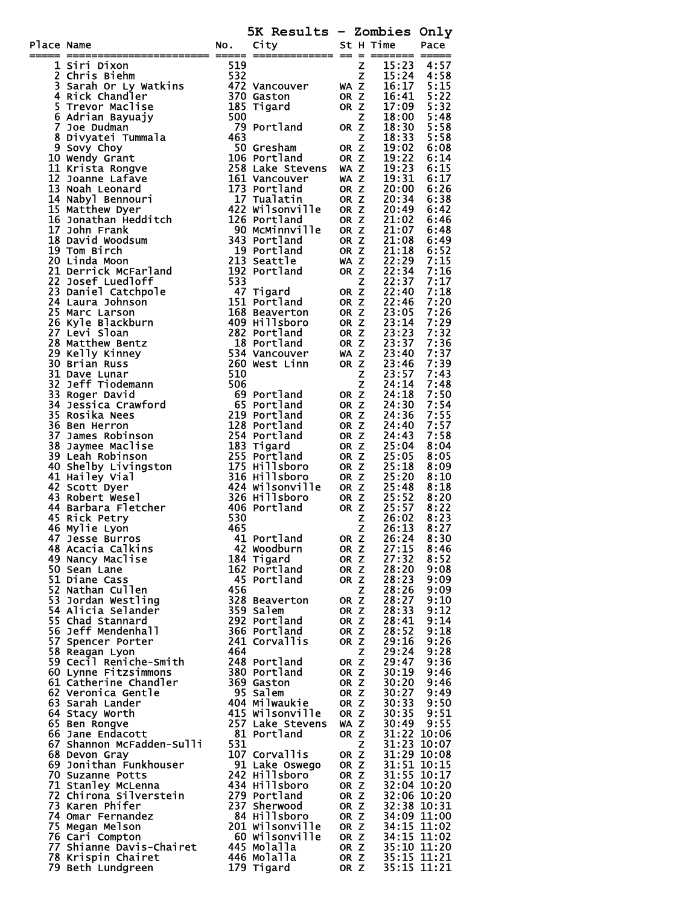|            |                                                                                                                                                                                                                                   |     | 5K Results - Zombies Only        |                         |   |                            |                            |
|------------|-----------------------------------------------------------------------------------------------------------------------------------------------------------------------------------------------------------------------------------|-----|----------------------------------|-------------------------|---|----------------------------|----------------------------|
| Place Name | ace Name<br>The Totion City was the surface of the state of the state<br>The Fig. of Newton and 1972 various of the state of the state of the state of the state of the state of the state of the state of the state of the state | NO. | City                             |                         |   | St H Time                  | Pace                       |
|            |                                                                                                                                                                                                                                   |     |                                  |                         |   | 122 22 2 2222222 22        |                            |
|            |                                                                                                                                                                                                                                   |     |                                  |                         |   |                            |                            |
|            |                                                                                                                                                                                                                                   |     |                                  |                         |   |                            |                            |
|            |                                                                                                                                                                                                                                   |     |                                  |                         |   |                            |                            |
|            |                                                                                                                                                                                                                                   |     |                                  |                         |   |                            |                            |
|            |                                                                                                                                                                                                                                   |     |                                  |                         |   |                            |                            |
|            |                                                                                                                                                                                                                                   |     |                                  |                         |   |                            |                            |
|            |                                                                                                                                                                                                                                   |     |                                  |                         |   |                            |                            |
|            |                                                                                                                                                                                                                                   |     |                                  |                         |   |                            |                            |
|            |                                                                                                                                                                                                                                   |     |                                  |                         |   |                            |                            |
|            |                                                                                                                                                                                                                                   |     |                                  |                         |   |                            |                            |
|            |                                                                                                                                                                                                                                   |     |                                  |                         |   |                            |                            |
|            |                                                                                                                                                                                                                                   |     |                                  |                         |   |                            |                            |
|            |                                                                                                                                                                                                                                   |     |                                  |                         |   |                            |                            |
|            |                                                                                                                                                                                                                                   |     |                                  |                         |   |                            |                            |
|            |                                                                                                                                                                                                                                   |     |                                  |                         |   |                            |                            |
|            |                                                                                                                                                                                                                                   |     |                                  |                         |   |                            |                            |
|            |                                                                                                                                                                                                                                   |     |                                  |                         |   |                            |                            |
|            |                                                                                                                                                                                                                                   |     |                                  |                         |   |                            |                            |
|            |                                                                                                                                                                                                                                   |     |                                  |                         |   |                            |                            |
|            |                                                                                                                                                                                                                                   |     |                                  |                         |   |                            |                            |
|            |                                                                                                                                                                                                                                   |     |                                  |                         |   |                            |                            |
|            |                                                                                                                                                                                                                                   |     |                                  |                         |   |                            |                            |
|            |                                                                                                                                                                                                                                   |     |                                  |                         |   |                            |                            |
|            |                                                                                                                                                                                                                                   |     |                                  |                         |   |                            |                            |
|            |                                                                                                                                                                                                                                   |     |                                  |                         |   |                            |                            |
|            |                                                                                                                                                                                                                                   |     |                                  |                         |   |                            |                            |
|            |                                                                                                                                                                                                                                   |     |                                  |                         |   |                            |                            |
|            |                                                                                                                                                                                                                                   |     |                                  |                         |   |                            |                            |
|            |                                                                                                                                                                                                                                   |     |                                  |                         |   |                            |                            |
|            |                                                                                                                                                                                                                                   |     |                                  |                         |   |                            |                            |
|            |                                                                                                                                                                                                                                   |     |                                  |                         |   |                            |                            |
|            |                                                                                                                                                                                                                                   |     |                                  |                         |   |                            |                            |
|            |                                                                                                                                                                                                                                   |     |                                  |                         |   |                            |                            |
|            |                                                                                                                                                                                                                                   |     |                                  |                         |   |                            |                            |
|            |                                                                                                                                                                                                                                   |     |                                  |                         |   |                            |                            |
|            | <b>47 Jesse Burros</b>                                                                                                                                                                                                            |     | 41 Portland                      | OR Z                    |   | 26:24                      | 8:30                       |
|            | 48 Acacia Calkins                                                                                                                                                                                                                 |     | 42 Woodburn                      | OR Z                    |   | 27:15                      | 8:46                       |
|            | 49 Nancy Maclise                                                                                                                                                                                                                  |     | 184 Tigard                       | OR <sub>Z</sub>         |   | 27:32                      | 8:52                       |
|            | 50 Sean Lane<br>51 Diane Cass                                                                                                                                                                                                     |     | 162 Portland<br>45 Portland      | OR Z<br>OR Z            |   | 28:20<br>28:23             | 9:08<br>9:09               |
|            | 52 Nathan Cullen                                                                                                                                                                                                                  | 456 |                                  |                         | Z | 28:26                      |                            |
|            | 53 Jordan Westling                                                                                                                                                                                                                |     | 328 Beaverton                    | OR Z                    |   | 28:27                      | $9:09$<br>$9:10$           |
|            | 54 Alicia Selander<br>55 Chad Stannard                                                                                                                                                                                            |     | 359 Salem<br>292 Portland        | OR <sub>Z</sub><br>OR Z |   | 28:33<br>28:41             | 9:12<br>9:14               |
|            | 56 Jeff Mendenhall                                                                                                                                                                                                                |     | 366 Portland                     | OR <sub>Z</sub>         |   | 28:52                      | 9:18                       |
|            | 57 Spencer Porter                                                                                                                                                                                                                 |     | 241 Corvallis                    | OR Z                    |   | 29:16                      | 9:26                       |
|            | 58 Reagan Lyon                                                                                                                                                                                                                    | 464 |                                  |                         | Z | 29:24                      | 9:28                       |
|            | 59 Cecil Reniche-Smith<br>60 Lynne Fitzsimmons                                                                                                                                                                                    |     | 248 Portland<br>380 Portland     | OR Z<br>OR <sub>Z</sub> |   | 29:47<br>30:19             | 9:36<br>9:46               |
|            | 61 Catherine Chandler                                                                                                                                                                                                             |     | 369 Gaston                       | OR Z                    |   | 30:20                      | 9:46                       |
|            | 62 Veronica Gentle                                                                                                                                                                                                                |     | 95 Salem                         | OR Z                    |   | 30:27                      | 9:49                       |
|            | 63 Sarah Lander                                                                                                                                                                                                                   |     | 404 Milwaukie<br>415 Wilsonville | OR Z<br>OR Z            |   | 30:33<br>30:35             | 9:50<br>9:51               |
|            | 64 Stacy Worth<br>65 Ben Rongve                                                                                                                                                                                                   |     | 257 Lake Stevens                 | WA Z                    |   | 30:49                      | 9:55                       |
|            | 66 Jane Endacott                                                                                                                                                                                                                  |     | 81 Portland                      | OR Z                    |   | 31:22 10:06                |                            |
|            | 67 Shannon McFadden-Sulli                                                                                                                                                                                                         | 531 |                                  |                         | z |                            | 31:23 10:07                |
|            | 68 Devon Gray<br>69 Jonithan Funkhouser                                                                                                                                                                                           |     | 107 Corvallis<br>91 Lake Oswego  | OR Z<br>OR Z            |   | 31:29 10:08                | 31:51 10:15                |
|            | 70 Suzanne Potts                                                                                                                                                                                                                  |     | 242 Hillsboro                    | OR Z                    |   |                            | 31:55 10:17                |
|            | 71 Stanley McLenna                                                                                                                                                                                                                |     | 434 Hillsboro                    | OR Z                    |   |                            | 32:04 10:20                |
|            | 72 Chirona Silverstein<br>73 Karen Phifer                                                                                                                                                                                         |     | 279 Portland<br>237 Sherwood     | OR Z<br>OR Z            |   | 32:06 10:20<br>32:38 10:31 |                            |
|            | 74 Omar Fernandez                                                                                                                                                                                                                 |     | 84 Hillsboro                     | OR Z                    |   |                            |                            |
|            | 75 Megan Melson                                                                                                                                                                                                                   |     | 201 Wilsonville                  | OR Z                    |   |                            | 34:09 11:00<br>34:15 11:02 |
|            | 76 Cari Compton                                                                                                                                                                                                                   |     | 60 Wilsonville                   | OR Z                    |   | 34:15 11:02<br>35:10 11:20 |                            |
|            | 77 Shianne Davis-Chairet<br>78 Krispin Chairet                                                                                                                                                                                    |     | 445 Molalla<br>446 Molalla       | OR Z<br>OR Z            |   | $35:15$ $11:21$            |                            |
|            | 79 Beth Lundgreen                                                                                                                                                                                                                 |     | 179 Tigard                       | OR Z                    |   | 35:15 11:21                |                            |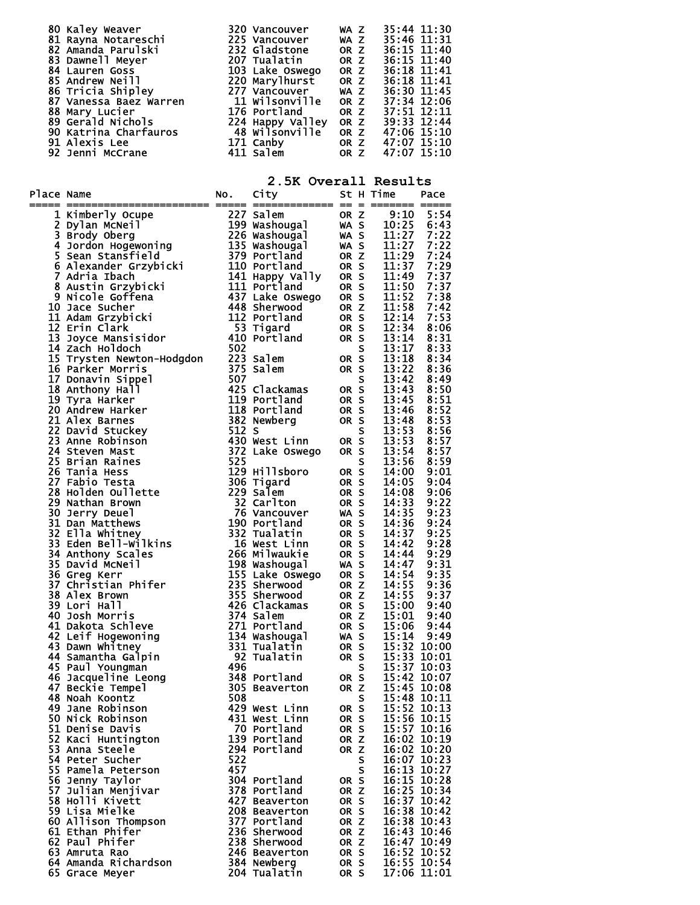| 80 Kaley Weaver             | 320 Vancouver                      | WA Z | 35:44 11:30 |
|-----------------------------|------------------------------------|------|-------------|
| 81 Rayna Notareschi         | 225 Vancouver                      | WA Z | 35:46 11:31 |
| 82 Amanda Parulski          | 232 Gladstone                      | OR Z | 36:15 11:40 |
| 83 Dawnell Meyer            | 207 Tualatin                       | OR Z | 36:15 11:40 |
| 84 Lauren Goss              | 103 Lake Oswego                    | OR Z | 36:18 11:41 |
| <b>85 Andrew Neill</b>      | 220 Marylhurst                     | OR Z | 36:18 11:41 |
| 86 Tricia Shipley           | 277 Vancouver                      | WA Z | 36:30 11:45 |
| 87 Vanessa Baez Warren      | 11 Wilsonville                     | OR Z | 37:34 12:06 |
| 88 Mary Lucier <b>Santa</b> | <b>176 Portland</b>                | OR Z | 37:51 12:11 |
| 89 Gerald Nichols           | 224 Happy Valley<br>48 Wilsonville | OR Z | 39:33 12:44 |
| 90 Katrina Charfauros       |                                    | OR Z | 47:06 15:10 |
| 91 Alexis Lee               | 171 Canby                          | OR Z | 47:07 15:10 |
| 92 Jenni McCrane            | 411 Salem                          | OR Z | 47:07 15:10 |

**2.5K Overall Results** 

| Place Name |                                      |     | z.on overair nesurc            |                 |    |                            | Pace        |
|------------|--------------------------------------|-----|--------------------------------|-----------------|----|----------------------------|-------------|
|            |                                      |     |                                |                 |    |                            |             |
|            |                                      |     |                                |                 |    |                            |             |
|            |                                      |     |                                |                 |    |                            |             |
|            |                                      |     |                                |                 |    |                            |             |
|            |                                      |     |                                |                 |    |                            |             |
|            |                                      |     |                                |                 |    |                            |             |
|            |                                      |     |                                |                 |    |                            |             |
|            |                                      |     |                                |                 |    |                            |             |
|            |                                      |     |                                |                 |    |                            |             |
|            |                                      |     |                                |                 |    |                            |             |
|            |                                      |     |                                |                 |    |                            |             |
|            |                                      |     |                                |                 |    |                            |             |
|            |                                      |     |                                |                 |    |                            |             |
|            |                                      |     |                                |                 |    |                            |             |
|            |                                      |     |                                |                 |    |                            |             |
|            |                                      |     |                                |                 |    |                            |             |
|            |                                      |     |                                |                 |    |                            |             |
|            |                                      |     |                                |                 |    |                            |             |
|            |                                      |     |                                |                 |    |                            |             |
|            |                                      |     |                                |                 |    |                            |             |
|            |                                      |     |                                |                 |    |                            |             |
|            |                                      |     |                                |                 |    |                            |             |
|            |                                      |     |                                |                 |    |                            |             |
|            |                                      |     |                                |                 |    |                            |             |
|            |                                      |     |                                |                 |    |                            |             |
|            |                                      |     |                                |                 |    |                            |             |
|            |                                      |     |                                |                 |    |                            |             |
|            |                                      |     |                                |                 |    |                            |             |
|            |                                      |     |                                |                 |    |                            |             |
|            |                                      |     |                                |                 |    |                            |             |
|            |                                      |     |                                |                 |    |                            |             |
|            |                                      |     |                                |                 |    |                            |             |
|            |                                      |     |                                |                 |    |                            |             |
|            |                                      |     |                                |                 |    |                            |             |
|            |                                      |     |                                |                 |    |                            |             |
|            |                                      |     |                                |                 |    |                            |             |
|            |                                      |     |                                |                 |    |                            |             |
|            |                                      |     |                                |                 |    |                            |             |
|            |                                      |     |                                |                 |    |                            |             |
|            |                                      |     |                                |                 |    |                            |             |
|            |                                      |     |                                |                 |    |                            |             |
|            |                                      |     |                                |                 |    |                            |             |
|            |                                      |     |                                |                 |    |                            |             |
|            |                                      |     |                                |                 |    |                            |             |
|            |                                      |     |                                |                 |    |                            |             |
|            | 48 Noah Koontz                       | 508 |                                |                 | S. | 15:48 10:11<br>15:52 10:13 |             |
|            | 49 Jane Robinson<br>50 Nick Robinson |     | 429 West Linn<br>431 West Linn | OR S<br>OR S    |    | 15:56 10:15                |             |
|            | 51 Denise Davis                      |     | 70 Portland                    | OR S            |    | 15:57 10:16                |             |
|            | 52 Kaci Huntington                   |     | 139 Portland                   | OR <sub>Z</sub> |    | 16:02 10:19                |             |
|            | 53 Anna Steele                       |     | 294 Portland                   | OR <sub>Z</sub> |    | 16:02 10:20                |             |
|            | 54 Peter Sucher                      | 522 |                                |                 | s  | 16:07 10:23                |             |
|            | 55 Pamela Peterson                   | 457 |                                |                 | S  | 16:13 10:27                |             |
|            | 56 Jenny Taylor                      |     | 304 Portland                   | OR S            |    | $16:15$ $10:28$            |             |
|            | 57 Julian Menjivar                   |     | 378 Portland                   | OR Z            |    | 16:25 10:34                |             |
|            | 58 Holli Kivett                      |     | 427 Beaverton                  | OR S            |    | 16:37 10:42                |             |
|            | 59 Lisa Mielke                       |     | 208 Beaverton                  | OR S            |    | 16:38 10:42                |             |
|            | 60 Allison Thompson                  |     | 377 Portland                   | OR <sub>Z</sub> |    | 16:38 10:43                |             |
|            | 61 Ethan Phifer                      |     | 236 Sherwood                   | OR Z            |    | 16:43 10:46                |             |
|            | 62 Paul Phifer                       |     | 238 Sherwood                   | OR <sub>Z</sub> |    | 16:47 10:49                |             |
|            | 63 Amruta Rao                        |     | 246 Beaverton                  | OR S            |    | 16:52 10:52                |             |
|            | 64 Amanda Richardson                 |     | 384 Newberg                    | OR S            |    | 16:55 10:54                |             |
|            | 65 Grace Meyer                       |     | 204 Tualatin                   | OR S            |    |                            | 17:06 11:01 |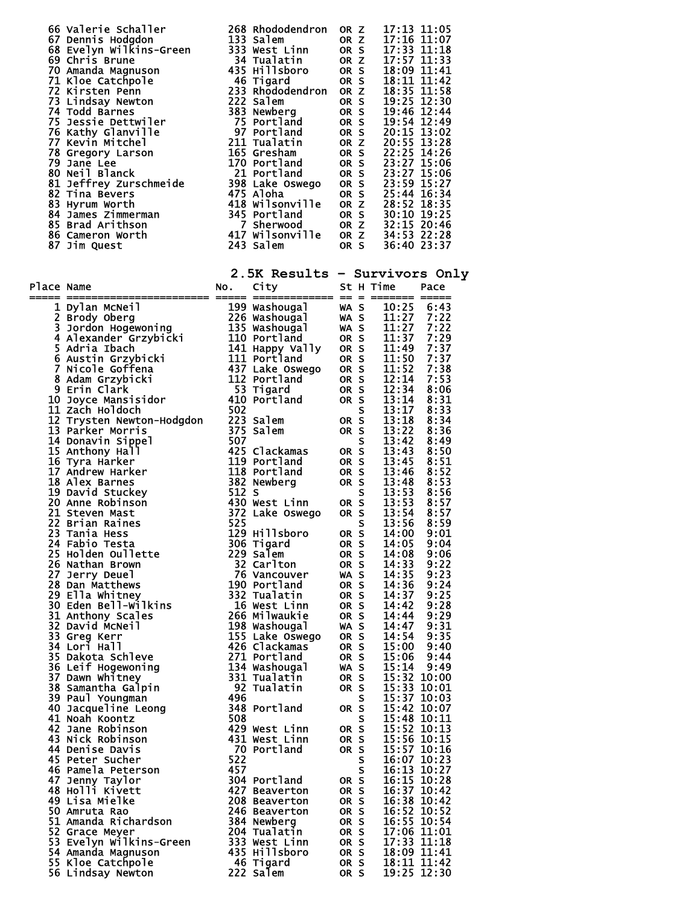|            | 66 Valerie Schaller 268 Rhododendron OR 2 17:13 11:05<br>67 Dennis Hodgdon 133 Salem 0R 2 17:13 11:05<br>68 Evelyn Wilkins-Green 333 West Linn 0R S 17:35 11:18<br>69 Chris Brune 34 Tualatin 0R 2 17:37 11:33<br>71 Kloe Catchpole 45   |     |                                  |                      |                                                                                                                                                                                                                                                                                         |
|------------|------------------------------------------------------------------------------------------------------------------------------------------------------------------------------------------------------------------------------------------|-----|----------------------------------|----------------------|-----------------------------------------------------------------------------------------------------------------------------------------------------------------------------------------------------------------------------------------------------------------------------------------|
|            |                                                                                                                                                                                                                                          |     |                                  |                      |                                                                                                                                                                                                                                                                                         |
|            |                                                                                                                                                                                                                                          |     |                                  |                      |                                                                                                                                                                                                                                                                                         |
|            |                                                                                                                                                                                                                                          |     |                                  |                      |                                                                                                                                                                                                                                                                                         |
|            |                                                                                                                                                                                                                                          |     |                                  |                      |                                                                                                                                                                                                                                                                                         |
|            |                                                                                                                                                                                                                                          |     |                                  |                      |                                                                                                                                                                                                                                                                                         |
|            |                                                                                                                                                                                                                                          |     |                                  |                      |                                                                                                                                                                                                                                                                                         |
|            |                                                                                                                                                                                                                                          |     |                                  |                      |                                                                                                                                                                                                                                                                                         |
|            |                                                                                                                                                                                                                                          |     |                                  |                      |                                                                                                                                                                                                                                                                                         |
|            |                                                                                                                                                                                                                                          |     |                                  |                      |                                                                                                                                                                                                                                                                                         |
| Place Name |                                                                                                                                                                                                                                          |     |                                  |                      | 2.5K Results - Survivors Only                                                                                                                                                                                                                                                           |
|            | ace Name and Dolor and New York 119 Washougal<br>1 Dylan McNeil (199 Washougal WAS 10:25 6:43<br>3 Jordon Hogewoning<br>1226 Washougal WAS 11:27 7:22<br>4 Alexander Grzybicki 110 Portland<br>6 Austan Graphicki 114 Happy Vally OR S 1 |     |                                  |                      |                                                                                                                                                                                                                                                                                         |
|            |                                                                                                                                                                                                                                          |     |                                  |                      |                                                                                                                                                                                                                                                                                         |
|            |                                                                                                                                                                                                                                          |     |                                  |                      |                                                                                                                                                                                                                                                                                         |
|            |                                                                                                                                                                                                                                          |     |                                  |                      |                                                                                                                                                                                                                                                                                         |
|            |                                                                                                                                                                                                                                          |     |                                  |                      |                                                                                                                                                                                                                                                                                         |
|            |                                                                                                                                                                                                                                          |     |                                  |                      |                                                                                                                                                                                                                                                                                         |
|            |                                                                                                                                                                                                                                          |     |                                  |                      |                                                                                                                                                                                                                                                                                         |
|            |                                                                                                                                                                                                                                          |     |                                  |                      |                                                                                                                                                                                                                                                                                         |
|            |                                                                                                                                                                                                                                          |     |                                  |                      |                                                                                                                                                                                                                                                                                         |
|            |                                                                                                                                                                                                                                          |     |                                  |                      |                                                                                                                                                                                                                                                                                         |
|            |                                                                                                                                                                                                                                          |     |                                  |                      |                                                                                                                                                                                                                                                                                         |
|            |                                                                                                                                                                                                                                          |     |                                  |                      |                                                                                                                                                                                                                                                                                         |
|            |                                                                                                                                                                                                                                          |     |                                  |                      |                                                                                                                                                                                                                                                                                         |
|            |                                                                                                                                                                                                                                          |     |                                  |                      |                                                                                                                                                                                                                                                                                         |
|            | 23 Tania Hess                                                                                                                                                                                                                            |     | 129 Hillsboro OR S               |                      | 14:00<br><b>9:01</b>                                                                                                                                                                                                                                                                    |
|            | 24 Fabio Testa<br>25 Holden Oullette                                                                                                                                                                                                     |     | 306 Tigard<br>229 Salem          | OR S<br>OR S<br>OR S | 14:05<br>9:04<br>14:08                                                                                                                                                                                                                                                                  |
|            | 26 Nathan Brown<br>27 Jerry Deuel                                                                                                                                                                                                        |     | 32 Carlton<br>76 Vancouver       | WA S                 | $9:06$<br>$9:22$<br>$9:23$<br>14:33<br>14:35                                                                                                                                                                                                                                            |
|            | 28 Dan Matthews                                                                                                                                                                                                                          |     | 190 Portland                     | OR S                 | 14:36<br>$9:24$<br>$9:25$                                                                                                                                                                                                                                                               |
|            | 29 Ella Whitney<br>30 Eden Bell-Wilkins                                                                                                                                                                                                  |     | 332 Tualatin<br>16 West Linn     | OR S<br>OR S         | 14:37<br>14:42                                                                                                                                                                                                                                                                          |
|            | 31 Anthony Scales<br>32 David McNeil                                                                                                                                                                                                     |     | 266 Milwaukie<br>198 Washougal   | OR S<br>WA S         | $9:28$<br>$9:29$<br>$9:31$<br>14:44<br>14:47                                                                                                                                                                                                                                            |
|            | 33 Greg Kerr<br>34 Lori Hall                                                                                                                                                                                                             |     | 155 Lake Oswego<br>426 Clackamas | OR S                 | 9:35<br>14:54                                                                                                                                                                                                                                                                           |
|            | 35 Dakota Schleve                                                                                                                                                                                                                        |     | 271 Portland                     | OR S<br>OR S         | 15:00 9:40<br>15:06 9:44                                                                                                                                                                                                                                                                |
|            |                                                                                                                                                                                                                                          |     | 134 Washougal<br>331 Tualatin    | WA S<br>OR S         | $15:14$ 9:49                                                                                                                                                                                                                                                                            |
|            | 36 Leif Hogewoning<br>37 Dawn Whitney<br>38 Samantha Galpin                                                                                                                                                                              |     | 92 Tualatin                      | OR S                 | 15:32 10:00<br>15:33 10:01<br>15:37 10:03                                                                                                                                                                                                                                               |
|            | 39 Paul Youngman<br>40 Jacqueline Leong                                                                                                                                                                                                  | 496 | 348 Portland                     | S<br>OR S            |                                                                                                                                                                                                                                                                                         |
|            | 41 Noah Koontz                                                                                                                                                                                                                           | 508 | 429 West Linn                    | S                    |                                                                                                                                                                                                                                                                                         |
|            | 42 Jane Robinson<br>43 Nick Robinson                                                                                                                                                                                                     |     | 431 West Linn                    | OR S<br>OR S<br>OR S |                                                                                                                                                                                                                                                                                         |
|            | 44 Denise Davis<br>45 Peter Sucher                                                                                                                                                                                                       | 522 | 70 Portland                      | S                    |                                                                                                                                                                                                                                                                                         |
|            | 46 Pamela Peterson                                                                                                                                                                                                                       | 457 |                                  | S                    |                                                                                                                                                                                                                                                                                         |
|            | 47 Jenny Taylor<br>48 Holli Kivett                                                                                                                                                                                                       |     | 304 Portland                     | OR S<br>OR S         | 15:37 10:03<br>15:42 10:07<br>15:48 10:11<br>15:52 10:13<br>15:52 10:13<br>15:57 10:16<br>15:57 10:16<br>16:07 10:23<br>16:13 10:27<br>16:13 10:28<br>16:37 10:42<br>16:37 10:42<br>16:37 10:42<br>16:52 10:52<br>16:52 10:52<br>16:52 11:53<br>11:55 11:54<br>16:52<br>11:55 11:14<br> |
|            |                                                                                                                                                                                                                                          |     |                                  | OR S<br>OR S         |                                                                                                                                                                                                                                                                                         |
|            |                                                                                                                                                                                                                                          |     |                                  | OR S                 |                                                                                                                                                                                                                                                                                         |
|            |                                                                                                                                                                                                                                          |     |                                  |                      |                                                                                                                                                                                                                                                                                         |
|            | 55 Kloe Catchpole                                                                                                                                                                                                                        |     |                                  |                      | $18:11$ $11:42$                                                                                                                                                                                                                                                                         |
|            | 56 Lindsay Newton                                                                                                                                                                                                                        |     | 46 Tigard<br>222 Salem           | OR S                 | 19:25 12:30                                                                                                                                                                                                                                                                             |